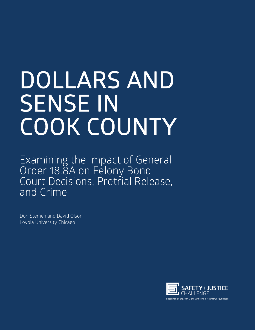# DOLLARS AND SENSE IN COOK COUNTY

Examining the Impact of General Order 18.8A on Felony Bond Court Decisions, Pretrial Release, and Crime

Don Stemen and David Olson Loyola University Chicago

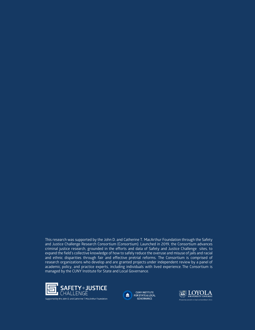This research was supported by the John D. and Catherine T. MacArthur Foundation through the Safety and Justice Challenge Research Consortium (Consortium). Launched in 2019, the Consortium advances criminal justice research, grounded in the efforts and data of Safety and Justice Challenge sites, to expand the field's collective knowledge of how to safely reduce the overuse and misuse of jails and racial and ethnic disparities through fair and effective pretrial reforms. The Consortium is comprised of research organizations who develop and are granted projects under independent review by a panel of academic, policy, and practice experts, including individuals with lived experience. The Consortium is managed by the CUNY Institute for State and Local Governance.





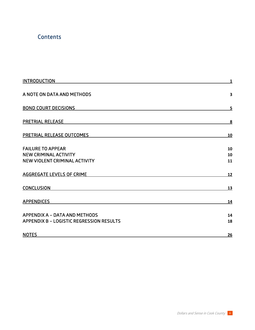# **Contents**

| <b>INTRODUCTION</b>                                                                     | $\overline{\mathbf{1}}$ |
|-----------------------------------------------------------------------------------------|-------------------------|
| A NOTE ON DATA AND METHODS                                                              | 3                       |
| <b>BOND COURT DECISIONS</b>                                                             | 5                       |
| <b>PRETRIAL RELEASE</b>                                                                 | 8                       |
| <b>PRETRIAL RELEASE OUTCOMES</b>                                                        | 10                      |
| <b>FAILURE TO APPEAR</b><br><b>NEW CRIMINAL ACTIVITY</b>                                | 10<br>10                |
| NEW VIOLENT CRIMINAL ACTIVITY                                                           | 11                      |
| <b>AGGREGATE LEVELS OF CRIME</b>                                                        | 12                      |
| <b>CONCLUSION</b>                                                                       | 13                      |
| <b>APPENDICES</b>                                                                       | 14                      |
| <b>APPENDIX A - DATA AND METHODS</b><br><b>APPENDIX B - LOGISTIC REGRESSION RESULTS</b> | 14<br>18                |
| <b>NOTES</b>                                                                            | 26                      |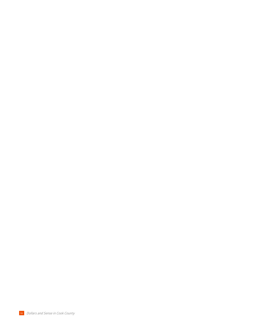iv Dollars and Sense in Cook County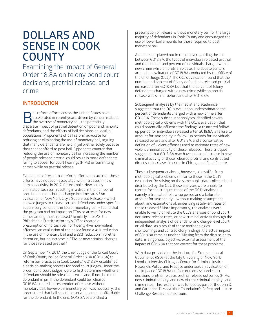# DOLLARS AND SENSE IN COOK COUNTY

Examining the impact of General Order 18.8A on felony bond court decisions, pretrial release, and crime

# INTRODUCTION

ail reform efforts across the United States have accelerated in recent years, driven by concerns about ail reform efforts across the United States has accelerated in recent years, driven by concern<br>the overuse of monetary bail, the potentially<br>disparate impact of postrial detention on poet and disparate impact of pretrial detention on poor and minority defendants, and the effects of bail decisions on local jail populations. Proponents of bail reform advocate for reducing or eliminating the use of monetary bail, arguing that many defendants are held in jail pretrial solely because they cannot afford to post bail. Opponents counter that reducing the use of monetary bail or increasing the number of people released pretrial could result in more defendants failing to appear for court hearings (FTAs) or committing crimes while on pretrial release.

Evaluations of recent bail reform efforts indicate that these efforts have not been associated with increases in new criminal activity. In 2017, for example, New Jersey eliminated cash bail, resulting in a drop in the number of pretrial detainees but no change in crime rates.<sup>1</sup> An evaluation of New York City's Supervised Release – which allowed judges to release certain defendants under specific supervisory conditions in lieu of monetary bail – found that the program had no impact on FTAs or arrests for new crimes among those released.<sup>2</sup> Similarly, in 2018, the Philadelphia District Attorney's Office created a presumption of no cash bail for twenty-five non-violent offenses; an evaluation of the policy found a 41% reduction in the use of monetary bail and a 22% reduction in pretrial detention, but no increase in FTAs or new criminal charges for those released pretrial.<sup>3</sup>

On September 17, 2017, the Chief Judge of the Circuit Court of Cook County issued General Order 18.8A (GO18.8A) to reform bail practices in Cook County.4 GO18.8A established a decision-making process for bond court judges. Under the order, bond court judges were to first determine whether a defendant should be released pretrial and, if not, hold the defendant in jail. If the defendant could be released, GO18.8A created a presumption of release without monetary bail; however, if monetary bail was necessary, the order stated that bail should be set at an amount affordable for the defendant. In the end, GO18.8A established a

presumption of release without monetary bail for the large majority of defendants in Cook County and encouraged the use of lower bail amounts for those required to post monetary bail.

A debate has played out in the media regarding the link between GO18.8A, the types of individuals released pretrial, and the number and percent of individuals charged with a new crime while on pretrial release. The debate centers around an evaluation of GO18.8A conducted by the Office of the Chief Judge (OCJ).<sup>5</sup> The OCJ's evaluation found that the number and percent of felony defendants released pretrial increased after GO18.8A but that the percent of felony defendants charged with a new crime while on pretrial release was similar before and after GO18.8A.

Subsequent analyses by the media $6$  and academics<sup>7</sup> suggested that the OCJ's evaluation underestimated the percent of defendants charged with a new crime after GO18.8A. These subsequent analyses identified several methodological problems with the OCJ's evaluation that could potentially influence the findings: a truncated followup period for individuals released after GO18.8A, a failure to account for seasonality in follow-up periods for individuals released before and after GO18.8A, and a conservative definition of violent offenses used to estimate rates of new violent criminal activity of those released. These critiques suggested that GO18.8A may have led to an increase in new criminal activity of those released pretrial and contributed directly to increases in crime in Chicago and Cook County.

These subsequent analyses, however, also suffer from methodological problems similar to those in the OCJ's evaluation. By relying on the same public data collected and distributed by the OCJ, these analyses were unable to correct for the critiques made of the OCJ's analyses – namely a truncated follow-up period and a failure to account for seasonality – without making assumptions about, and estimations of, underlying recidivism rates of those released.8 More importantly, the analyses were unable to verify or refute the OCJ's analyses of bond court decisions, release rates, or new criminal activity through the independent analysis of defendant- and charge-level court or jail data. As a result of these methodological shortcomings and contradictory findings, the actual impact of GO18.8A remains unclear. Missing from the discussion to date, is a rigorous, objective, external assessment of the impact of GO18.8A that can correct for these problems.

With data provided to the Institute for State and Local Governance (ISLG) at the City University of New York, Loyola University Chicago's Center for Criminal Justice Research, Policy, and Practice undertook an evaluation of the impact of GO18.8A on four outcomes: bond court decisions, pretrial release, pretrial release outcomes (FTAs, new criminal activity, and new violent criminal activity), and crime rates. This research was funded as part of the John D. and Catherine T. MacArthur Foundation's Safety and Justice Challenge Research Consortium.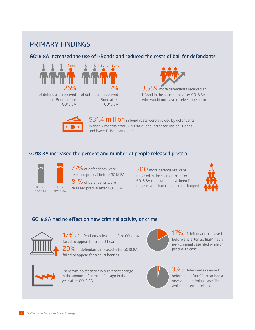# PRIMARY FINDINGS

# GO18.8A increased the use of I-Bonds and reduced the costs of bail for defendants





of defendants received an I-Bond before GO18.8A

of defendants received an I-Bond after GO18.8A



3,559 more defendants received an I-Bond in the six months after GO18.8A who would not have received one before



\$31.4 million in bond costs were avoided by defendants in the six months after GO18.8A due to increased use of I-Bonds and lower D-Bond amounts

# GO18.8A increased the percent and number of people released pretrial



Before GO18.8A After GO18.8A

77% of defendants were released pretrial before GO18.8A

81% of defendants were released pretrial after GO18.8A

500 more defendants were released in the six months after GO18.8A than would have been if release rates had remained unchanged



# GO18.8A had no effect on new criminal activity or crime



17% of defendants released before GO18.8A failed to appear for a court hearing

 $20\%$  of defendants released after GO18.8A failed to appear for a court hearing



There was no statistically significant change in the amount of crime in Chicago in the year after GO18.8A



17% of defendants released before and after GO18.8A had a new criminal case filed while on pretrial release



 $3\%$  of defendants released before and after GO18.8A had a new violent criminal case filed while on pretrial release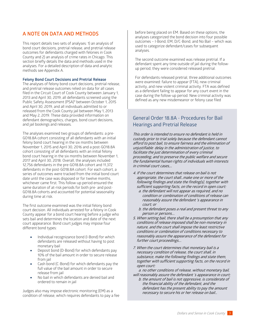# A NOTE ON DATA AND METHODS

This report details two sets of analyses: 1) an analysis of bond court decisions, pretrial release, and pretrial release outcomes for defendants charged with felonies in Cook County and 2) an analysis of crime rates in Chicago. This section briefly details the data and methods used in the analyses. For a detailed description of data and analytic methods see Appendix A.

#### Felony Bond Court Decisions and Pretrial Release

The analyses of felony bond court decisions, pretrial release, and pretrial release outcomes relied on data for all cases filed in the Circuit Court of Cook County between January 1, 2013 and April 30, 2019, all defendants screened using the Public Safety Assessment (PSA)9 between October 1, 2015 and April 30, 2019, and all individuals admitted to or released from the Cook County jail between May 1, 2013 and May 2, 2019. These data provided information on defendant demographics, charges, bond court decisions, and jail bookings and releases.

The analyses examined two groups of defendants: a pre-GO18.8A cohort consisting of all defendants with an initial felony bond court hearing in the six months between November 1, 2015 and April 30, 2016 and a post-GO18.8A cohort consisting of all defendants with an initial felony bond court hearing in the six months between November 1, 2017 and April 30, 2018. Overall, the analyses included 12,756 defendants in the pre-GO18.8A cohort and 11,372 defendants in the post-GO18.8A cohort. For each cohort, a series of outcomes were tracked from the initial bond court date until the case was disposed or for twelve months, whichever came first. This follow-up period ensured the same duration of at-risk periods for both pre- and post-GO18.8A cohorts and accounted for potential seasonality during time at risk.

The first outcome examined was the initial felony bond court decision. All individuals arrested for a felony in Cook County appear for a bond court hearing before a judge who sets bail and determines the location and date of the next court appearance. Bond court judges may impose four different bond types:

- Individual recognizance bond (I-Bond) for which defendants are released without having to post monetary bail
- Deposit bond (D-Bond) for which defendants pay 10% of the bail amount in order to secure release from jail
- Cash bond (C-Bond) for which defendants pay the full value of the bail amount in order to secure release from jail
- No bail in which defendants are denied bail and ordered to remain in jail

Judges also may impose electronic monitoring (EM) as a condition of release, which requires defendants to pay a fee before being placed on EM. Based on these options, the analyses categorized the bond decision into four possible outcomes – I-Bond, EM, D/C-Bond, and No Bail – which was used to categorize defendant/cases for subsequent analyses.

The second outcome examined was release pretrial. If a defendant spent any time outside of jail during the followup period, they were considered released pretrial.

For defendants released pretrial, three additional outcomes were examined: failure to appear (FTA), new criminal activity, and new violent criminal activity. FTA was defined as a defendant failing to appear for any court event in the case during the follow-up period. New criminal activity was defined as any new misdemeanor or felony case filed

## General Order 18.8A - Procedures for Bail Hearings and Pretrial Release

This order is intended to ensure no defendant is held in custody prior to trial solely because the defendant cannot afford to post bail, to ensure fairness and the elimination of unjustifiable delay in the administration of justice, to facilitate the just determination of every criminal proceeding, and to preserve the public welfare and secure the fundamental human rights of individuals with interests in criminal court cases,…

- 4. If the court determines that release on bail is not appropriate, the court shall…make one or more of the following findings and state the finding(s), together with sufficient supporting facts, on the record in open court:
	- a. the defendant will not appear as required, and no condition or combination of conditions of release can reasonably assure the defendant 's appearance in court; or
	- b. the defendant poses a real and present threat to any person or persons….
- 5. When setting bail, there shall be a presumption that any conditions of release imposed shall be non-monetary in nature, and the court shall impose the least restrictive conditions or combination of conditions necessary to reasonably assure the appearance of the defendant for further court proceedings….
- 7. When the court determines that monetary bail is a necessary condition of release, the court shall, in substance, make the following findings and state them, together with sufficient supporting facts, on the record in open court:

a. no other conditions of release, without monetary bail, will reasonably assure the defendant 's appearance in court;

b. the amount of bail is not oppressive, is considerate of the financial ability of the defendant, and the defendant has the present ability to pay the amount necessary to secure his or her release on bail…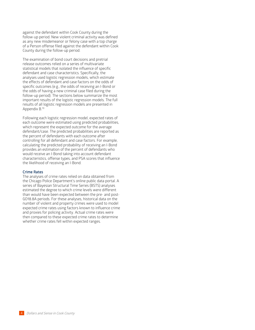against the defendant within Cook County during the follow-up period. New violent criminal activity was defined as any new misdemeanor or felony case with a top charge of a Person offense filed against the defendant within Cook County during the follow-up period.

The examination of bond court decisions and pretrial release outcomes relied on a series of multivariate statistical models that isolated the influence of specific defendant and case characteristics. Specifically, the analyses used logistic regression models, which estimate the effects of defendant and case factors on the odds of specific outcomes (e.g., the odds of receiving an I-Bond or the odds of having a new criminal case filed during the follow-up period). The sections below summarize the most important results of the logistic regression models. The full results of all logistic regression models are presented in Appendix B.10

Following each logistic regression model, expected rates of each outcome were estimated using predicted probabilities, which represent the expected outcome for the average defendant/case. The predicted probabilities are reported as the percent of defendants with each outcome after controlling for all defendant and case factors. For example, calculating the predicted probability of receiving an I-Bond provides an estimation of the percent of defendants who would receive an I-Bond taking into account defendant characteristics, offense types, and PSA scores that influence the likelihood of receiving an I-Bond.

#### Crime Rates

The analyses of crime rates relied on data obtained from the Chicago Police Department's online public data portal. A series of Bayesian Structural Time Series (BSTS) analyses estimated the degree to which crime levels were different than would have been expected between the pre- and post-GO18.8A periods. For these analyses, historical data on the number of violent and property crimes were used to model expected crime rates using factors known to influence crime and proxies for policing activity. Actual crime rates were then compared to these expected crime rates to determine whether crime rates fell within expected ranges.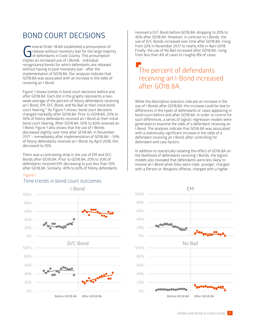# BOND COURT DECISIONS

eneral Order 18.8A established a presumption of release without monetary bail for the large majority of defendants in Cook County. This presumption **C** eneral Order 18.8A established a presum<br>release without monetary bail for the large<br>of defendants in Cook County. This presum<br>implies an increased use of I-Bonds - individual recognizance bonds for which defendants are released without having to post monetary bail - after the implementation of GO18.8A. Our analyses indicate that GO18.8A was associated with an increase in the odds of receiving an I-Bond.

Figure 1 shows trends in bond court decisions before and after GO18.8A. Each dot in the graphs represents a twoweek average of the percent of felony defendants receiving an I-Bond, EM, D/C-Bond, and No Bail at their initial bond court hearing.11 As Figure 1 shows, bond court decisions changed markedly after GO18.8A. Prior to GO18.8A, 20% to 40% of felony defendants received an I-Bond at their initial bond court hearing. After GO18.8A, 50% to 60% received an I-Bond. Figure 1 also shows that the use of I-Bonds decreased slightly over time after GO18.8A. In November 2017 – immediately after implementation of GO18.8A – 59% of felony defendants received an I-Bond; by April 2018, this decreased to 55%.

There was a contrasting drop in the use of EM and D/C-Bonds after GO18.8A. Prior to GO18.8A, 20% to 30% of defendants received EM, decreasing to just less than 10% after GO18.8A. Similarly, 40% to 60% of felony defendants

#### Figure 1.

## Time trends in bond court outcomes



received a D/C-Bond before GO18.8A, dropping to 20% to 40% after GO18.8A. However, in contrast to I-Bonds, the use of D/C-Bonds increased over time after GO18.8A, rising from 22% in November 2017 to nearly 43% in April 2018. Finally, the use of No Bail increased after GO18.8A, rising from less than 4% of cases to roughly 8% of cases.

# The percent of defendants receiving an I-Bond increased after GO18.8A.

While the descriptive statistics indicate an increase in the use of I-Bonds after GO18.8A, this increase could be due to differences in the types of defendants or cases appearing in bond court before and after GO18.8A. In order to control for such differences, a series of logistic regression models were generated to examine the odds of a defendant receiving an I-Bond. The analyses indicate that GO18.8A was associated with a statistically significant increase in the odds of a defendant receiving an I-Bond, after controlling for defendant and case factors.

In addition to statistically isolating the effect of GO18.8A on the likelihood of defendants receiving I-Bonds, the logistic models also revealed that defendants were less likely to receive an I-Bond when they were male, younger, charged with a Person or Weapons offense, charged with a higher

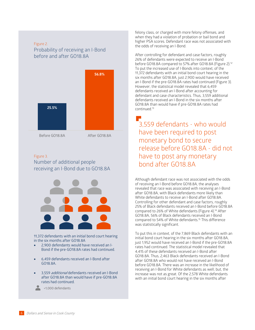## Figure 2. Probability of receiving an I-Bond before and after GO18.8A



## Figure 3. Number of additional people receiving an I-Bond due to GO18.8A



11,372 defendants with an initial bond court hearing in the six months after GO18.8A

- 2,900 defendants would have received an I-Bond if the pre-GO18.8A rates had continued.
- 6,459 defendants received an I-Bond after GO18.8A.
- 3,559 additional defendants received an I-Bond after GO18.8A than would have if pre-GO18.8A rates had continued.

=1,000 defendants

felony class, or charged with more felony offenses, and when they had a violation of probation or bail bond and higher PSA scores. Defendant race was not associated with the odds of receiving an I-Bond.

After controlling for defendant and case factors, roughly 26% of defendants were expected to receive an I-Bond before GO18.8A compared to 57% after GO18.8A (Figure 2).<sup>12</sup> To put the increased use of I-Bonds into context, of the 11,372 defendants with an initial bond court hearing in the six months after GO18.8A, just 2,900 would have received an I-Bond if the pre-GO18.8A rates had continued (Figure 3). However, the statistical model revealed that 6,459 defendants received an I-Bond after accounting for defendant and case characteristics. Thus, 3,559 additional defendants received an I-Bond in the six months after GO18.8A than would have if pre-GO18.8A rates had continued.13

3,559 defendants - who would have been required to post monetary bond to secure release before GO18.8A - did not have to post any monetary bond after GO18.8A

Although defendant race was not associated with the odds of receiving an I-Bond before GO18.8A, the analyses revealed that race was associated with receiving an I-Bond after GO18.8A, with Black defendants more likely than White defendants to receive an I-Bond after GO18.8A. Controlling for other defendant and case factors, roughly 25% of Black defendants received an I-Bond before GO18.8A compared to 26% of White defendants (Figure 4). <sup>14</sup> After GO18.8A, 56% of Black defendants received an I-Bond compared to 54% of White defendants.15 This difference was statistically significant.

To put this in context, of the 7,869 Black defendants with an initial bond court hearing in the six months after GO18.8A, just 1,952 would have received an I-Bond if the pre-GO18.8A rates had continued. The statistical model revealed that 4,415 of these defendants received an I-Bond after GO18.8A. Thus, 2,463 Black defendants received an I-Bond after GO18.8A who would not have received an I-Bond before GO18.8A. There was an increase in the likelihood of receiving an I-Bond for White defendants as well; but, the increase was not as great. Of the 2,578 White defendants with an initial bond court hearing in the six months after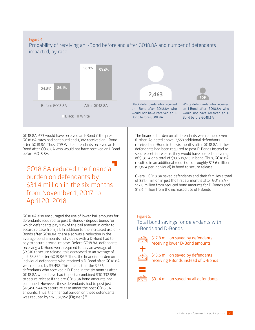#### Figure 4.

Probability of receiving an I-Bond before and after GO18.8A and number of defendants impacted, by race



GO18.8A, 673 would have received an I-Bond if the pre-GO18.8A rates had continued and 1,382 received an I-Bond after GO18.8A. Thus, 709 White defendants received an I-Bond after GO18.8A who would not have received an I-Bond before GO18.8A.

GO18.8A reduced the financial burden on defendants by \$31.4 million in the six months from November 1, 2017 to April 20, 2018

GO18.8A also encouraged the use of lower bail amounts for defendants required to post D-Bonds - deposit bonds for which defendants pay 10% of the bail amount in order to secure release from jail. In addition to the increased use of I-Bonds after GO18.8A, there also was a reduction in the average bond amounts individuals with a D-Bond had to pay to secure pretrial release. Before GO18.8A, defendants receiving a D-Bond were required to pay an average of \$9,316 to secure release; this decreased to an average of just \$3,824 after GO18.8A.<sup>16</sup> Thus, the financial burden on individual defendants who received a D-Bond after GO18.8A was reduced by \$5,492. This means that the 3,256 defendants who received a D-Bond in the six months after GO18.8A would have had to post a combined \$30,332,896 to secure release if the pre-GO18.8A bond amounts had continued. However, these defendants had to post just \$12,450,944 to secure release under the post-GO18.8A amounts. Thus, the financial burden on these defendants was reduced by \$17,881,952 (Figure 5). 17

The financial burden on all defendants was reduced even further. As noted above, 3,559 additional defendants received an I-Bond in the six months after GO18.8A. If these defendants had been required to post D-Bonds instead to secure pretrial release, they would have posted an average of \$3,824 or a total of \$13,609,616 in bond. Thus, GO18.8A resulted in an additional reduction of roughly \$13.6 million (\$3,824 per individual) in bond to secure release.

Overall, GO18.8A saved defendants and their families a total of \$31.4 million in just the first six months after GO18.8A - \$17.8 million from reduced bond amounts for D-Bonds and \$13.6 million from the increased use of I-Bonds.

#### Figure 5.

Total bond savings for defendants with I-Bonds and D-Bonds



\$17.8 million saved by defendants receiving lower D-Bond amounts



\$13.6 million saved by defendants receiving I-Bonds instead of D-Bonds



\$31.4 million saved by all defendants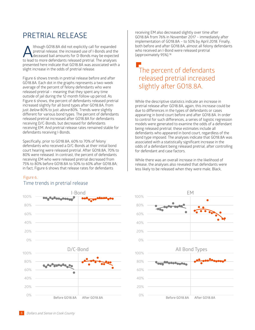# PRETRIAL RELEASE

lthough GO18.8A did not explicitly call for expanded pretrial release, the increased use of I-Bonds and the deceased bail amounts for D-Bonds may be expected Ithough G018.8A did not explicitly call for expanded<br>pretrial release, the increased use of I-Bonds and the<br>deceased bail amounts for D-Bonds may be expected<br>to lead to more defendants released pretrial. The analyses presented here indicate that GO18.8A was associated with a slight increase in the odds of pretrial release.

Figure 6 shows trends in pretrial release before and after GO18.8A. Each dot in the graphs represents a two-week average of the percent of felony defendants who were released pretrial – meaning that they spent any time outside of jail during the 12-month follow-up period. As Figure 6 shows, the percent of defendants released pretrial increased slightly for all bond types after GO18.8A, from just below 80% to just above 80%. Trends were slightly different for various bond types. The percent of defendants released pretrial increased after GO18.8A for defendants receiving D/C-Bonds, but decreased for defendants receiving EM. And pretrial release rates remained stable for defendants receiving I-Bonds.

Specifically, prior to GO18.8A, 60% to 70% of felony defendants who received a D/C-Bonds at their initial bond court hearing were released pretrial. After GO18.8A, 70% to 80% were released. In contrast, the percent of defendants receiving EM who were released pretrial decreased from 75% to 80% before GO18.8A to 50% to 60% after GO18.8A; in fact, Figure 6 shows that release rates for defendants

receiving EM also decreased slightly over time after GO18.8A from 76% in November 2017 – immediately after implementation of GO18.8A – to 50% by April 2018. Finally, both before and after GO18.8A, almost all felony defendants who received an I-Bond were released pretrial (approximately 95%). 18

# The percent of defendants released pretrial increased slightly after GO18.8A.

While the descriptive statistics indicate an increase in pretrial release after GO18.8A, again, this increase could be due to differences in the types of defendants or cases appearing in bond court before and after GO18.8A. In order to control for such differences, a series of logistic regression models were generated to examine the odds of a defendant being released pretrial; these estimates include all defendants who appeared in bond court, regardless of the bond type imposed. The analyses indicate that GO18.8A was associated with a statistically significant increase in the odds of a defendant being released pretrial, after controlling for defendant and case factors.

While there was an overall increase in the likelihood of release, the analyses also revealed that defendants were less likely to be released when they were male, Black,

## Figure 6. Time trends in pretrial release



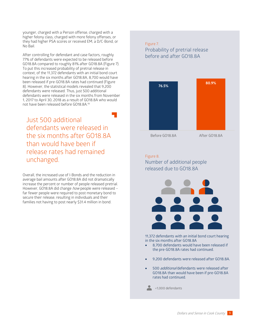younger, charged with a Person offense, charged with a higher felony class, charged with more felony offenses, or they had higher PSA scores or received EM, a D/C-Bond, or No Bail.

After controlling for defendant and case factors, roughly 77% of defendants were expected to be released before GO18.8A compared to roughly 81% after GO18.8A (Figure 7). To put this increased probability of pretrial release in context, of the 11,372 defendants with an initial bond court hearing in the six months after GO18.8A, 8,700 would have been released if pre-GO18.8A rates had continued (Figure 8). However, the statistical models revealed that 9,200 defendants were released. Thus, just 500 additional defendants were released in the six months from November 1, 2017 to April 30, 2018 as a result of GO18.8A who would not have been released before GO18.8A.19

Just 500 additional defendants were released in the six months after GO18.8A than would have been if release rates had remained unchanged.

Overall, the increased use of I-Bonds and the reduction in average bail amounts after GO18.8A did not dramatically increase the percent or number of people released pretrial. However, GO18.8A did change how people were released far fewer people were required to post monetary bond to secure their release, resulting in individuals and their families not having to post nearly \$31.4 million in bond.

## Figure 7.

Probability of pretrial release before and after GO18.8A



Figure 8. Number of additional people released due to GO18.8A



11,372 defendants with an initial bond court hearing in the six months after GO18.8A

- 8,700 defendants would have been released if the pre-GO18.8A rates had continued.
- 9,200 defendants were released after GO18.8A.
- 500 additional defendants were released after GO18.8A than would have been if pre-GO18.8A rates had continued.

=1,000 defendants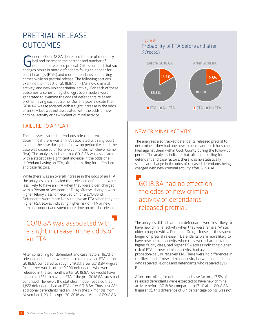# PRETRIAL RELEASE **OUTCOMES**

eneral Order 18.8A decreased the use of monetary bail and increased the percent and number of defendants released pretrial. Critics contend that such changes result in more defendants failing to appear for court hearings (FTAs) and more defendants committing crimes while on pretrial release. The following sections examine the impact of GO18.8A on FTAs, new criminal activity, and new violent criminal activity. For each of these outcomes, a series of logistic regression models were generated to examine the odds of defendants released pretrial having each outcome. Our analyses indicate that GO18.8A was associated with a slight increase in the odds of an FTA but was not associated with the odds of new criminal activity or new violent criminal activity. G

## FAILURE TO APPEAR

The analyses tracked defendants released pretrial to determine if there was an FTA associated with any court event in the case during the follow-up period (i.e., until the case was disposed or for twelve months, whichever came first). The analyses indicate that GO18.8A was associated with a statistically significant increase in the odds of a defendant having an FTA, after controlling for defendant and case factors.

While there was an overall increase in the odds of an FTA, the analyses also revealed that released defendants were less likely to have an FTA when they were older, charged with a Person or Weapons or Drug offense, charged with a higher felony class, or received EM or a D/C-Bond. Defendants were more likely to have an FTA when they had higher PSA scores indicating higher risk of FTA or new criminal conduct and spent more time on pretrial release.

# GO18.8A was associated with a slight increase in the odds of an FTA.

After controlling for defendant and case factors, 16.7% of released defendants were expected to have an FTA before GO18.8A compared to roughly 19.8% after GO18.8A (Figure 9). In other words, of the 9,200 defendants who were released in the six months after GO18.8A, we would have expected 1,536 to have an FTA if the pre-GO18.8A rates had continued. However, the statistical model revealed that 1,822 defendants had an FTA after GO18.8A. Thus, just 286 additional defendants had an FTA in the six months from November 1, 2017 to April 30, 2018 as a result of GO18.8A.

## Figure 9. Probability of FTA before and after GO18.8A



# NEW CRIMINAL ACTIVITY

The analyses also tracked defendants released pretrial to determine if they had any new misdemeanor or felony case filed against them within Cook County during the follow-up period. The analyses indicate that, after controlling for defendant and case factors, there was no statistically significant change in the odds of released defendants being charged with new criminal activity after GO18.8A.

# GO18.8A had no effect on the odds of new criminal activity of defendants released pretrial.

The analyses did indicate that defendants were less likely to have new criminal activity when they were female, White, older, charged with a Person or Drug offense, or they spent longer on pretrial release.<sup>20</sup> Defendants were more likely to have new criminal activity when they were charged with a higher felony class, had higher PSA scores indicating higher risk of FTA or new criminal activity, had a violation of probation/bail, or received EM. There were no differences in the likelihood of new criminal activity between defendants who received I-Bonds and defendants who received D/C-Bonds.

After controlling for defendant and case factors, 17.5% of released defendants were expected to have new criminal activity before GO18.8A compared to 17.1% after GO18.8A (Figure 10); this difference of 0.4 percentage points was not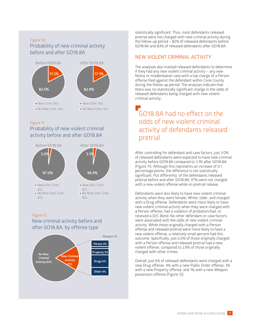## Figure 10. Probability of new criminal activity before and after GO18.8A



## Figure 11.

## Probability of new violent criminal activity before and after GO18.8A



## Figure 12.

# New criminal activity before and after GO18.8A, by offense type



statistically significant. Thus, most defendants released pretrial were not charged with new criminal activity during the follow-up period – 82% of released defendants before GO18.8A and 83% of released defendants after GO18.8A.

# NEW VIOLENT CRIMINAL ACTIVITY

The analyses also tracked released defendants to determine if they had any new violent criminal activity – any new felony or misdemeanor case with a top charge of a Person offense filed against the defendant within Cook County during the follow-up period. The analyses indicate that there was no statistically significant change in the odds of released defendants being charged with new violent criminal activity.

# GO18.8A had no effect on the odds of new violent criminal activity of defendants released pretrial.

After controlling for defendant and case factors, just 3.0% of released defendants were expected to have new criminal activity before GO18.8A compared to 3.1% after GO18.8A (Figure 11). Although this represents an increase of 0.1 percentage points, the difference is not statistically significant. Put differently, of the defendants released pretrial before and after GO18.8A, 97% were not charged with a new violent offense while on pretrial release.

Defendants were less likely to have new violent criminal activity when they were female, White, older, and charged with a Drug offense. Defendants were more likely to have new violent criminal activity when they were charged with a Person offense, had a violation of probation/bail, or received a D/C-Bond. No other defendant or case factors were associated with the odds of new violent criminal activity. While those originally charged with a Person offense and released pretrial were more likely to have a new violent offense, a relatively small percent had this outcome. Specifically, just 6.0% of those originally charged with a Person offense and released pretrial had a new violent offense, compared to 2.8% of those originally charged with other crimes.

Overall, just 6% of released defendants were charged with a new Drug offense, 4% with a new Public Order offense, 3% with a new Property offense, and 1% with a new Weapon possession offense (Figure 12).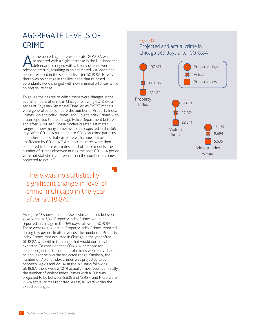# AGGREGATE LEVELS OF **CRIME**

s the preceding analyses indicate, GO18.8A was associated with a slight increase in the likelihood that defendants charged with a felony offense were s the preceding analyses indicate, GO18.8A was<br>associated with a slight increase in the likelihood that<br>defendants charged with a felony offense were<br>released pretrial, resulting in an estimated 500 additional people released in the six months after GO18.8A. However, there was no change in the likelihood that released defendants were charged with new criminal offenses while on pretrial release.

To gauge the degree to which there were changes in the overall amount of crime in Chicago following GO18.8A, a series of Bayesian Structural Time Series (BSTS) models were generated to compare the number of Property Index Crimes, Violent Index Crimes, and Violent Index Crimes with a Gun reported to the Chicago Police Department before and after GO18.8A.<sup>21</sup> These models created estimated ranges of how many crimes would be expected in the 365 days after GO18.8A based on pre-GO18.8A crime patterns and other factors that correlate with crime, but are unaffected by GO18.8A.<sup>22</sup> Actual crime rates were then compared to these estimates. In all of these models, the number of crimes observed during the post-GO18.8A period were not statistically different than the number of crimes projected to occur. 23

There was no statistically significant change in level of crime in Chicago in the year after GO18.8A.

As Figure 13 shows, the analyses estimated that between 77,407 and 107,316 Property Index Crimes would be reported in Chicago in the 365 days following GO18.8A. There were 88,085 actual Property Index Crimes reported during this period. In other words, the number of Property Index Crimes that occurred in Chicago in the year after GO18.8A was within the range that would normally be expected. To conclude that GO18.8A increased (or decreased) crime, the number of crimes would have had to be above (or below) the projected range. Similarly, the number of Violent Index Crimes was projected to be between 31,623 and 22,341 in the 365 days following GO18.8A; there were 27,074 actual crimes reported. Finally, the number of Violent Index Crimes with a Gun was projected to be between 5,635 and 12,487, and there were 9,694 actual crimes reported. Again, all were within the expected ranges.

## Figure 13.

## Projected and actual crime in Chicago 365 days after GO18.8A

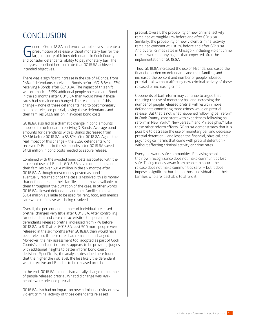# CONCLUSION

eneral Order 18.8A had two clear objectives – create a **presumption of release without monetary bail for the** large majority of felony defendants in Cook County **C** eneral Order 18.8A had two clear objectives - create<br>presumption of release without monetary bail for the<br>large majority of felony defendants in Cook County<br>and consider defendants' ability to pay monetary bail. The analyses described here indicate that GO18.8A achieved its intended objectives.

There was a significant increase in the use of I-Bonds, from 26% of defendants receiving I-Bonds before GO18.8A to 57% receiving I-Bonds after GO18.8A. The impact of this shift was dramatic – 3,559 additional people received an I-Bond in the six months after GO18.8A than would have if these rates had remained unchanged. The real impact of this change – none of these defendants had to post monetary bail to be released pretrial, saving these defendants and their families \$13.6 million in avoided bond costs.

GO18.8A also led to a dramatic change in bond amounts imposed for defendants receiving D-Bonds. Average bond amounts for defendants with D-Bonds decreased from \$9,316 before GO18.8A to \$3,824 after GO18.8A. Again, the real impact of this change – the 3,256 defendants who received D-Bonds in the six months after GO18.8A saved \$17.8 million in bond costs needed to secure release.

Combined with the avoided bond costs associated with the increased use of I-Bonds, GO18.8A saved defendants and their families over \$31.4 million in the six months after GO18.8A. Although most money posted as bond is eventually returned once the case is resolved, this is money that defendants and their families do not have available to them throughout the durtation of the case. In other words, GO18.8A allowed defendants and their families to have \$31.4 million available to be used for rent, food, and medical care while their case was being resolved.

Overall, the percent and number of individuals released pretrial changed very little after GO18.8A. After controlling for defendant and case characteristics, the percent of defendants released pretrial increased from 77% before GO18.8A to 81% after GO18.8A. Just 500 more people were released in the six months after GO18.8A than would have been released if these rates had remained unchanged. Moreover, the risk assessment tool adopted as part of Cook County's bond court reforms appears to be providing judges with additional insights to better inform bond court decisions. Specifically, the analyses described here found that the higher the risk level, the less likely the defendant was to receive an I-Bond or to be released pretrial.

In the end, GO18.8A did not dramatically change the number of people released pretrial. What did change was how people were released pretrial.

GO18.8A also had no impact on new criminal activity or new violent criminal activity of those defendants released

pretrial. Overall, the probability of new criminal activity remained at roughly 17% before and after GO18.8A. Similarly, the probability of new violent criminal activity remained constant at just 3% before and after GO18.8A. And overall crimes rates in Chicago – including violent crime rates – were not any higher than expected after the implementation of GO18.8A.

Thus, GO18.8A increased the use of I-Bonds, decreased the financial burden on defendants and their families, and increased the percent and number of people released pretrial – all without affecting new criminal activity of those released or increasing crime.

Opponents of bail reform may continue to argue that reducing the use of monetary bail and increasing the number of people released pretrial will result in more defendants committing more crimes while on pretrial release. But that is not what happened following bail reform in Cook County, consistent with experiences following bail reform in New York,<sup>24</sup> New Jersey,<sup>25</sup> and Philadelphia.<sup>26</sup> Like these other reform efforts, GO 18.8A demonstrates that it is possible to decrease the use of monetary bail and decrease pretrial detention – and lessen the financial, physical, and psychological harms that come with pretrial detention – without affecting criminal activity or crime rates.

Everyone wants safe communities. Releasing people on their own recognizance does not make communities less safe. Taking money away from people to secure their release does not make communities safer – but it does impose a significant burden on those individuals and their families who are least able to afford it.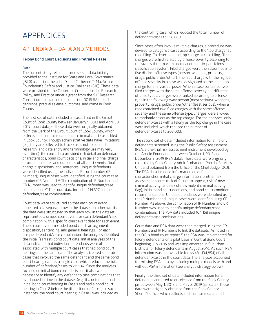# **APPENDICES**

# APPENDIX A – DATA AND METHODS

#### Felony Bond Court Decisions and Pretrial Release

#### Data

The current study relied on three sets of data initially provided to the Institute for State and Local Governance (ISLG) as part of the John D. and Catherine T. MacArthur Foundation's Safety and Justice Challenge (SJC). These data were provided to the Center for Criminal Justice Research, Policy, and Practice under a grant from the SJC Research Consortium to examine the impact of GO18.8A on bail decisions, pretrial release outcomes, and crime in Cook County.

The first set of data included all cases filed in the Circuit Court of Cook County between January 1, 2013 and April 30, 2019 (court data).<sup>27</sup> These data were originally obtained from the Clerk of the Circuit Court of Cook County, which collects and maintains data on all criminal court cases filed in Cook County. Though administrative data have limitations (e.g. they are collected to track cases not to conduct research, and data entry and terminology use may vary over time), the court data provided rich detail on defendant characteristics, bond court decisions, initial and final charge information, dates and outcomes of all court events, final charge dispositions, and sentences. Unique defendants were identified using the Individual Record number (IR Number); unique cases were identified using the court case number (CR Number).<sup>28</sup> The combination of IR Number and CR Number was used to identify unique defendant/case combinations.29 The court data included 714,327 unique defendant/case combinations.

Court data were structured so that each court event appeared as a separate row in the dataset. In other words, the data were structured so that each row in the dataset represented a unique court event for each defendant/case combination, with a specific court event date for each event. These court events included bond court, arraignment, disposition, sentencing, and general hearings. For each unique defendant/case combination, the analyses identified the initial (earliest) bond court date. Initial analyses of the data indicated that individual defendants were often associated with multiple court cases that had bond court hearings on the same date. The analyses treated separate cases that involved the same defendant and the same bond court hearing date as a single case, which reduced the total number of defendant/cases to 711,947. Since the analyses focused on initial bond court decisions, it also was necessary to identify any defendant/case combinations that overlapped in time in the dataset (e.g., if a defendant had an initial bond court hearing in Case 1 and had a bond court hearing in Case 2 before the disposition of Case 1); in such instances, the bond court hearing in Case 1 was included as

the controlling case, which reduced the total number of defendant/cases to 558,680.

Since cases often involve multiple charges, a procedure was devised to categorize cases according to the "top charge" at case filing. To determine the top charge at case filing, filed charges were first ranked by offense severity according to the state's three-part misdemeanor and six-part felony classification system. Filed charges were then classified into five distinct offense types (person, weapons, property, drugs, public order/other). The filed charge with the highest offense severity in a case was designated as the initial top charge for analysis purposes. When a case contained two filed charges with the same offense severity but different offense types, charges were ranked according to offense type in the following way: person (most serious), weapons, property, drugs, public order/other (least serious); when a case contained two filed charges with the same offense severity and the same offense type, charges were allowed to randomly select as the top charge. For the analyses, only defendant/cases with a felony as the top charge in the case were included, which reduced the number of defendant/cases to 203,003.

The second set of data included information for all felony defendants screened using the Public Safety Assessment (PSA, a pre-trial risk assessment instrument developed by the Arnold Foundation) between October 1, 2015 and December 9, 2019 (PSA data). These data were originally collected by Cook County Adult Probation - Pretrial Services Unit and obtained from the Office of the Chief Judge (OCJ). The PSA data included information on defendant characteristics, initial charge information, pretrial risk assessment scores (risk of failure to appear, risk of new criminal activity, and risk of new violent criminal activity flag), initial bond court decisions, and bond court condition recommendations. Unique defendants were identified using the IR Number and unique cases were identified using CR Number. As above, the combination of IR Number and CR Number was used to identify unique defendant/case combinations. The PSA data included 104,158 unique defendant/case combinations.

Court data and PSA data were then merged using the CR Numbers and IR Numbers to link the datasets. As noted in the OCJ's bond court report,<sup>30</sup> the PSA was implemented for felony defendants on a pilot basis in Central Bond Court beginning July 2015 and was implemented in Suburban Districts for felony defendants in August 2016. As such, PSA information was not available for 66.4% (134,854) of all defendant/cases in the court data. The analyses accounted for missing PSA data by including multiple models with and without PSA information (see analytic strategy below).

Finally, the third set of data included information for all defendants admitted to or released from the Cook County jail between May 1, 2013 and May 2, 2019 (jail data). These data were originally obtained from the Cook County Sheriff's office, which collects and maintains data on all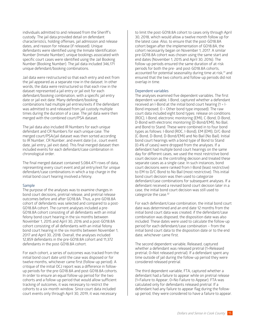individuals admitted to and released from the Sheriff's custody. The jail data provided detail on defendant characteristics, holding offenses, jail admission and release dates, and reason for release (if released). Unique defendants were identified using the Inmate Identification Number (Inmate Number); unique bookings associated with specific court cases were identified using the Jail Booking Number (Booking Number). The jail data included 346,171 unique defendant/booking combinations.

Jail data were restructured so that each entry and exit from the jail appeared as a separate row in the dataset. In other words, the data were restructured so that each row in the dataset represented a jail entry or jail exit for each defendant/booking combination, with a specific jail entry date or jail exit date. Many defendant/booking combinations had multiple jail entries/exits if the defendant was admitted to and released from jail custody multiple times during the duration of a case. The jail data were then merged with the combined court/PSA dataset.

The jail data also included IR Numbers for each unique defendant and CR Numbers for each unique case. The merged court/PSA/jail dataset was then sorted according to IR Number, CR Number, and event date (i.e., court event date, jail entry, jail exit date). This final merged dataset then included events for each defendant/case combination in chronological order.

The final merged dataset contained 5,084,471 rows of data, representing every court event and jail entry/exit for unique defendant/case combinations in which a top charge in the initial bond court hearing involved a felony.

#### **Sample**

The purpose of the analyses was to examine changes in bond court decisions, pretrial release, and pretrial release outcomes before and after GO18.8A. Thus, a pre-GO18.8A cohort of defendants was selected and compared to a post-GO18.8A cohort. The current analyses included a pre-GO18.8A cohort consisting of all defendants with an initial felony bond court hearing in the six months between November 1, 2015 and April 30, 2016 and a post-GO18.8A cohort consisting of all defendants with an initial felony bond court hearing in the six months between November 1, 2017 and April 30, 2018. Overall, the analyses included 12,859 defendants in the pre-GO18.8A cohort and 11,372 defendants in the post-GO18.8A cohort.

For each cohort, a series of outcomes was tracked from the initial bond court date until the case was disposed or for twelve months, whichever came first (follow-up period). A critique of the initial OCJ report was a difference in followup periods for the pre-GO18.8A and post-GO18.8A cohorts. In order to ensure an equal follow-up period for the two cohorts and a follow-up period that would allow sufficient tracking of outcomes, it was necessary to restrict the cohorts to a six-month window. Since court data included court events only through April 30, 2019, it was necessary

to limit the post-GO18.8A cohort to cases only through April 30, 2018, which would allow a twelve month follow up for the latest case. Also, to ensure that the post-GO18.8A cohort began after the implementation of GO18.8A, the cohort necessarily began on November 1, 2017. A similar pre-GO18.8A cohort was chosen using the same start and end dates (November 1, 2015 and April 30, 2016). The follow-up periods ensured the same duration of at-risk periods for both the pre- and post-GO18.8A cohorts, accounted for potential seasonality during time at risk,<sup>31</sup> and ensured that the two cohorts and follow-up periods did not overlap in time.

#### Dependent variables

The analyses examined five dependent variables. The first dependent variable, I-Bond, captured whether a defendant received an I-Bond at the initial bond court hearing (1 = I-Bond imposed; 0 = Other bond type imposed). The raw court data included eight bond types: release on conditions (ROC), I-Bond, electronic monitoring (EMI), C-Bond, D-Bond, D-Bond with electronic monitoring (D-Bond/EMI), No Bail, and Bond to Stand. These were combined in to four bond types as follows: I-Bond (ROC, I-Bond), EM (EMI), D/C-Bond (C-Bond, D-Bond, D-Bond/EMI) and No Bail (No Bail). Initial bond court hearings with a bond type of Bond to Stand (0.4% of cases) were dropped from the analyses. If a defendant had multiple bond court hearings on the same day for different cases, we used the most restrictive bond court decision as the controlling decision and treated these separate cases as a single case. In such instances, bond court decisions were ranked from I-Bond (least restrictive) to EM to D/C-Bond to No Bail (most restrictive). This initial bond court decision was then used to categorize defendant/case combinations for subsequent analyses. If a defendant received a revised bond court decision later in a case, the initial bond court decision was still used to categorize the case.<sup>32</sup>

For each defendant/case combination, the initial bond court date was determined and an end date 12 months from the initial bond court data was created; if the defendant/case combination was disposed, the disposition date was also included. These dates were used to calculate the follow-up period for each defendant/case combination – from the initial bond court data to the disposition date or to the end date, whichever came first.

The second dependent variable, Released, captured whether a defendant was released pretrial (1=Released pretrial; 0=Not released pretrial). If a defendant spent any time outside of jail during the follow-up period they were considered released pretrial.

The third dependent variable, FTA, captured whether a defendant had a failure to appear while on pretrial release (1=Failure to Appear; 0=No Failure to Appear). FTA was calculated only for defendants released pretrial. If a defendant had any failure to appear flag during the followup period, they were considered to have a failure to appear.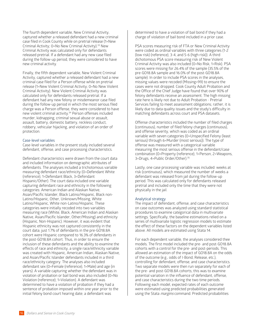The fourth dependent variable, New Criminal Activity, captured whether a released defendant had a new criminal case filed in Cook County while on pretrial release (1=New Criminal Activity; 0=No New Criminal Activity).33 New Criminal Activity was calculated only for defendants released pretrial. If a defendant had any new case filed during the follow-up period, they were considered to have new criminal activity.

Finally, the fifth dependent variable, New Violent Criminal Activity, captured whether a released defendant had a new criminal case filed for a Person offense while on pretrial release (1=New Violent Criminal Activity; 0=No New Violent Criminal Activity). New Violent Criminal Activity was calculated only for defendants released pretrial. If a defendant had any new felony or misdemeanor case filed during the follow-up period in which the most serious filed charge was a Person offense, they were considered to have new violent criminal activity.34 Person offenses included murder, kidnapping, criminal sexual abuse or assault, assault, battery, domestic battery, reckless conduct, robbery, vehicular hijacking, and violation of an order of protection.

#### Case-level variables

Case-level variables in the present study included several defendant, offense, and case processing characteristics.

Defendant characteristics were drawn from the court data and included information on demographic attributes of defendants. The analyses included a trichotomous variable measuring defendant race/ethnicity (0=Defendant White (reference), 1=Defendant Black, 3=Defendant Hispanic/Other). The court data included one variable capturing defendant race and ethnicity in the following categories: American Indian and Alaskan Native, Asian/Pacific Islander, Black Latino/Hispanic, Black non-Latino/Hispanic, Other, Unknown/Missing, White Latino/Hispanic, White non-Latino/Hispanic. These categories were initially recoded into two variables measuring race (White, Black, American Indian and Alaskan Native, Asian/Pacific Islander, Other/Missing) and ethnicity (Hispanic, Non-Hispanic). However, it was evident that Hispanic ethnicity was not captured consistently in the court data; just 1.7% of defendants in the pre-GO18.8A cohort were Hispanic compared to 16.3% of defendants in the post-GO18.8A cohort. Thus, in order to ensure the inclusion of these defendants and the ability to examine the effects of race and ethnicity, a single race/ethnicity variable was created with Hispanic, American Indian, Alaskan Native, and Asian/Pacific Islander defendants included in a third race/ethnicity category. The analyses also included defendant sex (0=Female (reference), 1=Male) and age (in years). A variable capturing whether the defendant was in violation of probation or bail bond was also included (0=No Violation (reference); 1=Violation). A defendant was determined to have a violation of probation if they had a sentence of probation imposed within one year prior to the initial felony bond court hearing date; a defendant was

determined to have a violation of bail bond if they had a charge of violation of bail bond included in a prior case.

PSA scores measuring risk of FTA or New Criminal Activity were coded as ordinal variables with three categories (1-2 (low risk) (reference), 3-4, and 5-6 (high risk)). A third dichotomous PSA score measuring risk of New Violent Criminal Activity was also included (0=No Risk, 1=Risk). PSA scores were missing for 26.4% of the sample (35.5% of the pre-GO18.8A sample and 16.0% of the post-GO18.8A sample). In order to include PSA scores in the analyses, missing values were recoded (Missing=99) to ensure the cases were not dropped. Cook County Adult Probation and the Office of the Chief Judge have found that over 90% of felony defendants receive an assessment. The high missing rate here is likely not due to Adult Probation - Pretrial Services failing to meet assessment obligations; rather, it is likely due to data quality issues and the study's difficulty in matching defendants across court and PSA datasets.

Offense characteristics included the number of filed charges (continuous), number of filed felony charges (continuous), and offense severity, which was coded as an ordinal variable with seven categories (0=Unspecified Felony (least serious) through 6=Murder (most serious)). The type of offense was measured with a categorical variable measuring the most serious offense in the defendant/case combination (0=Property (reference), 1=Person, 2=Weapons, 3=Drugs, 4=Public Order/Other).35

Lastly, one case processing variable was included: weeks at risk (continuous), which measured the number of weeks a defendant was released from jail during the follow-up period. This was calculated only for defendants released pretrial and included only the time that they were not physically in the jail.

#### Analytical strategy

The impact of defendant, offense, and case characteristics on case outcomes was analyzed using standard statistical procedures to examine categorical data in multivariate settings. Specifically, the baseline estimations relied on a series of multivariate logistic regression models to estimate the effect of these factors on the dependent variables listed above. All models are estimated using Stata 14.

For each dependent variable, the analyses considered thee models. The first model included the pre- and post-GO18.8A cohorts with a control for the pre- and post-periods. This allowed an estimation of the impact of GO18.8A on the odds of the outcome (e.g., odds of I-Bond, Release, etc.), controlling for defendant, offense, and case characteristics. Two separate models were then run separately for each of the pre- and post-GO18.8A cohorts; this was to examine potential variation in the influence of defendant, offense, and case characteristics during the two time periods. Following each model, expected rates of each outcome were estimated using predicted probabilities generated using the Stata *margins* command. Predicted probabilities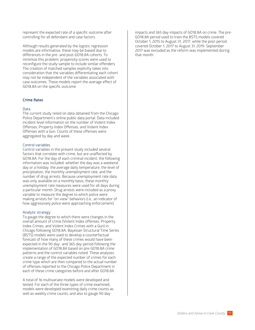represent the expected rate of a specific outcome after controlling for all defendant and case factors.

Although results generated by the logistic regression models are informative, these may be biased due to differences in the pre- and post-GO18.8A cohorts. To minimize this problem, propensity scores were used to reconfigure the study sample to include similar offenders. The creation of matched samples explicitly takes into consideration that the variables differentiating each cohort may not be independent of the variables associated with case outcomes. These models report the average effect of GO18.8A on the specific outcome.

#### Crime Rates

#### Data

The current study relied on data obtained from the Chicago Police Department's online public data portal. Data included incident-level information on the number of Violent Index Offenses, Property Index Offenses, and Violent Index Offenses with a Gun. Counts of these offenses were aggregated by day and week.

#### Control variables

Control variables in the present study included several factors that correlate with crime, but are unaffected by GO18.8A. For the day of each criminal incident, the following information was included: whether the day was a weekend day or a holiday, the average daily temperature, the level of precipitation, the monthly unemployment rate, and the number of drug arrests. Because unemployment rate data was only available on a monthly basis, these monthly unemployment rate measures were used for all days during a particular month. Drug arrests were included as a proxy variable to measure the degree to which police were making arrests for "on-view" behaviors (i.e., an indicator of how aggressively police were approaching enforcement).

#### Analytic strategy

To gauge the degree to which there were changes in the overall amount of crime (Violent Index offenses, Property Index Crimes, and Violent Index Crimes with a Gun) in Chicago following GO18.8A, Bayesian Structural Time Series (BSTS) models were used to develop a counterfactual forecast of how many of these crimes would have been expected in the 90 day- and 365 day-period following the implementation of GO18.8A based on pre-GO18.8A crime patterns and the control variables noted. These analyses create a range of the expected number of crimes for each crime type which are then compared to the actual number of offenses reported to the Chicago Police Department in each of these crime categories before and after GO18.8A.

A total of 16 multivariate models were developed and tested. For each of the three types of crime examined, models were developed examining daily crime counts as well as weekly crime counts, and also to gauge 90 dayimpacts and 365 day-impacts of GO18.8A on crime. The pre-GO18.8A period used to train the BSTS models covered October 1, 2015 to August 31, 2017, while the post-period covered October 1, 2017 to August 31, 2019. September 2017 was excluded as the reform was implemented during that month.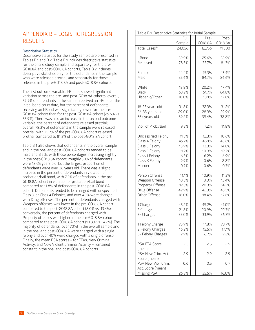# APPENDIX B – LOGISTIC REGRESSION RESULTS

#### Descriptive Statistics

Descriptive statistics for the study sample are presented in Tables B.1 and B.2. Table B.1 includes descriptive statistics for the entire study sample and separately for the pre-GO18.8A and post-GO18.8A cohorts; Table B.2 includes descriptive statistics only for the defendants in the sample who were released pretrial, and separately for those released in the pre-GO18.8A and post-GO18.8A cohorts.

The first outcome variable, I-Bonds, showed significant variation across the pre- and post-GO18.8A cohorts: overall, 39.9% of defendants in the sample received an I-Bond at the initial bond court date, but the percent of defendants receiving an I-Bond was significantly lower for the pre-GO18.8A cohort than for the post-GO18.8A cohort (25.6% vs. 55.9%). There was also an increase in the second outcome variable, the percent of defendants released pretrial; overall, 78.3% of defendants in the sample were released pretrial, with 75.7% of the pre-GO18.8A cohort released pretrial compared to 81.3% of the post-GO18.8A cohort.

Table B.1 also shows that defendants in the overall sample and in the pre- and post-GO18.8A cohorts tended to be male and Black, with these percentages increasing slightly in the post-GO18.8A cohort; roughly 30% of defendants were 18-25 years old, but the largest proportion of defendants were over 36 years old. There was a slight increase in the percent of defendants in violation of probation/bail bond, with 7.2% of defendants in the pre-GO18.8A cohort in violation of probation/bail bond compared to 11.8% of defendants in the post-GO18.8A cohort. Defendants tended to be charged with unspecified, Class 3, or Class 4 Felonies, and over 40% were charged with Drug offenses. The percent of defendants charged with Weapons offenses was lower in the pre-GO18.8A cohort compared to the post-GO18.8A cohort (8.0% vs. 13.4%); conversely, the percent of defendants charged with Property offenses was higher in the pre-GO18.8A cohort compared to the post-GO18.8A cohort (10.3% vs. 14.2%). The majority of defendants (over 70%) in the overall sample and in the pre- and post-GO18.8A were charged with a single felony and over 40% were charged with a single offense. Finally, the mean PSA scores – for FTAs, New Criminal Activity, and New Violent Criminal Activity – remained constant in the pre- and post-GO18.8A cohorts.

| Table B.1. Descriptive Statistics for Initial Sample |        |  |         |         |
|------------------------------------------------------|--------|--|---------|---------|
|                                                      | Full   |  | Pre-    | Post-   |
|                                                      | Sample |  | GO18.8A | GO18.8A |
| Total Cases <sup>36</sup>                            | 24,056 |  | 12,756  | 11,300  |
| I-Bond                                               | 39.9%  |  | 25.6%   | 55.9%   |
| Released                                             | 78.3%  |  | 75.7%   | 81.3%   |
| Female                                               | 14.4%  |  | 15.3%   | 13.4%   |
| Male                                                 | 85.6%  |  | 84.7%   | 86.6%   |
| White                                                | 18.8%  |  | 20.2%   | 17.4%   |
| Black                                                | 63.2%  |  | 61.7%   | 64.8%   |
| Hispanic/Other                                       | 18.0%  |  | 18.1%   | 17.8%   |
| 18-25 years old                                      | 31.8%  |  | 32.3%   | 31.2%   |
| 26-35 years old                                      | 29.0%  |  | 28.3%   | 29.9%   |
| 36+ years old                                        | 39.2%  |  | 39.4%   | 38.8%   |
| Viol. of Prob./Bail                                  | 9.3%   |  | 7.2%    | 11.8%   |
| Unclassified Felony                                  | 11.5%  |  | 12.3%   | 10.6%   |
| Class 4 Felony                                       | 45.7%  |  | 46.1%   | 45.6%   |
| Class 3 Felony                                       | 13.9%  |  | 13.3%   | 14.8%   |
| Class 2 Felony                                       | 11.7%  |  | 10.9%   | 12.7%   |
| Class 1 Felony                                       | 6.5%   |  | 6.2%    | 6.9%    |
| Class X Felony                                       | 9.9%   |  | 10.6%   | 8.8%    |
| Murder                                               | 0.7%   |  | 0.6%    | 0.7%    |
| Person Offense                                       | 11.1%  |  | 10.9%   | 11.3%   |
| Weapon Offense                                       | 10.5%  |  | 8.0%    | 13.4%   |
| Property Offense                                     | 17.5%  |  | 20.3%   | 14.2%   |
| Drug Offense                                         | 42.9%  |  | 42.3%   | 43.5%   |
| Other Offense                                        | 18.0%  |  | 18.4%   | 17.6%   |
| 1 Charge                                             | 43.2%  |  | 45.2%   | 41.0%   |
| 2 Charges                                            | 21.8%  |  | 20.9%   | 22.7%   |
| 3+ Charges                                           | 35.0%  |  | 33.9%   | 36.3%   |
| 1 Felony Charge                                      | 75.9%  |  | 77.8%   | 73.7%   |
| 2 Felony Charges                                     | 16.2%  |  | 15.5%   | 17.1%   |
| 3+ Felony Charges                                    | 7.9%   |  | 6.7%    | 9.2%    |
| PSA FTA Score<br>(mean)                              | 2.5    |  | 2.5     | 2.5     |
| PSA New Crim. Act.<br>Score (mean)                   | 2.9    |  | 2.9     | 2.9     |
| PSA New Viol. Crim.<br>Act. Score (mean)             | 0.6    |  | 0.5     | 0.7     |
| Missing PSA                                          | 26.3%  |  | 35.5%   | 16.0%   |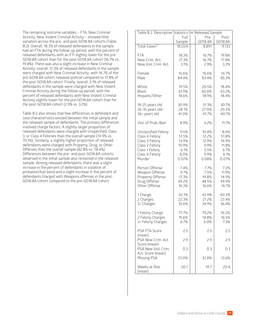The remaining outcome variables – FTA, New Criminal Activity, New Violent Criminal Activity – showed little variation across the pre- and post-GO18.8A cohorts (Table B.2). Overall, 18.3% of released defendants in the sample had an FTA during the follow-up period, with the percent of released defendants with an FTI slightly lower for the pre-GO18.8A cohort than for the post-GO18.8A cohort (16.7% vs. 19.8%). There was also a slight increase in New Criminal Activity; overall, 17.3% of released defendants in the sample were charged with New Criminal Activity, with 16.7% of the pre-GO18.8A cohort released pretrial compared to 17.8% of the post-GO18.8A cohort. Finally, overall, 3.1% of released defendants in the sample were charged with New Violent Criminal Activity during the follow-up period, with the percent of released defendants with New Violent Criminal Activity slightly lower for the pre-GO18.8A cohort than for the post-GO18.8A cohort (2.9% vs. 3.2%).

Table B.2 also shows that few differences in defendant and case characteristics existed between the initial sample and the released sample of defendants. The primary differences involved charge factors. A slightly larger proportion of released defendants were charged with Unspecified, Class 3, or Class 4 Felonies than the overall sample (74.9% vs. 70.1%). Similarly, a slightly higher proportion of released defendants were charged with Property, Drug, or Other Offenses than the overall sample (82.8% vs. 78.4%). Differences between the pre- and post-GO18.8A cohorts observed in the initial sample also remained in the released sample. Among released defendants, there was a slight increase in the percent of defendants in violation of probation/bail bond and a slight increase in the percent of defendants charged with Weapons offenses in the post-GO18.8A cohort compared to the pre-GO18.8A cohort.

| Table B.2. Descriptive Statistics for Released Sample                                                                   |                                                          |  |                                                          |                                                          |
|-------------------------------------------------------------------------------------------------------------------------|----------------------------------------------------------|--|----------------------------------------------------------|----------------------------------------------------------|
|                                                                                                                         | Full                                                     |  | Pre-                                                     | Post-                                                    |
|                                                                                                                         | Sample                                                   |  | GO18.8A                                                  | GO18.8A                                                  |
| Total Cases <sup>37</sup>                                                                                               | 18,024                                                   |  | 8,891                                                    | 9,133                                                    |
| <b>FTA</b><br>New Crim. Act.<br>New Viol. Crim. Act.                                                                    | 18.3%<br>17.3%<br>3.1%                                   |  | 16.7%<br>16.7%<br>2.9%                                   | 19.8%<br>17.8%<br>3.2%                                   |
| Female<br>Male                                                                                                          | 15.6%<br>84.4%                                           |  | 16.6%<br>83.4%                                           | 14.7%<br>85.3%                                           |
| White<br>Black<br>Hispanic/Other                                                                                        | 19.5%<br>61.9%<br>18.6%                                  |  | 20.5%<br>60.6%<br>18.9%                                  | 18.4%<br>63.2%<br>18.4%                                  |
| 18-25 years old<br>26-35 years old<br>36+ years old                                                                     | 30.9%<br>28.1%<br>41.0%                                  |  | 31.3%<br>27.0%<br>41.7%                                  | 30.7%<br>29.2%<br>40.1%                                  |
| Viol. of Prob./Bail                                                                                                     | 8.9%                                                     |  | 6.2%                                                     | 11.7%                                                    |
| Unclassified Felony<br>Class 4 Felony<br>Class 3 Felony<br>Class 2 Felony<br>Class 1 Felony<br>Class X Felony<br>Murder | 9.5%<br>51.5%<br>13.9%<br>10.9%<br>6.1%<br>8.0%<br>0.07% |  | 10.4%<br>51.2%<br>12.9%<br>9.9%<br>5.5%<br>9.9%<br>0.08% | 8.6%<br>51.8%<br>14.9%<br>11.8%<br>6.7%<br>6.1%<br>0.07% |
| Person Offense<br>Weapon Offense<br>Property Offense<br>Drug Offense<br>Other Offense                                   | 7.4%<br>9.7%<br>17.3%<br>49.2%<br>16.3%                  |  | 7.7%<br>7.5%<br>19.8%<br>48.5%<br>16.6%                  | 7.2%<br>11.9%<br>14.9%<br>49.9%<br>16.1%                 |
| 1 Charge<br>2 Charges<br>3+ Charges                                                                                     | 42.1%<br>22.3%<br>35.6%                                  |  | 43.9%<br>21.2%<br>34.9%                                  | 40.3%<br>23.4%<br>36.4%                                  |
| 1 Felony Charge<br>2 Felony Charges<br>3+ Felony Charges                                                                | 77.7%<br>15.6%<br>6.7%                                   |  | 79.2%<br>14.8%<br>6.0%                                   | 76.2%<br>16.5%<br>7.3%                                   |
| PSA FTA Score<br>(mean)                                                                                                 | 2.5                                                      |  | 2.5                                                      | 2.5                                                      |
| PSA New Crim. Act.<br>Score (mean)                                                                                      | 2.9                                                      |  | 2.9                                                      | 2.9                                                      |
| PSA New Viol. Crim.<br>Act. Score (mean)                                                                                | 0.3                                                      |  | 0.3                                                      | 0.3                                                      |
| Missing PSA                                                                                                             | 23.0%                                                    |  | 32.8%                                                    | 13.6%                                                    |
| Weeks at Risk<br>(mean)                                                                                                 | 20.1                                                     |  | 19.7                                                     | 20.4                                                     |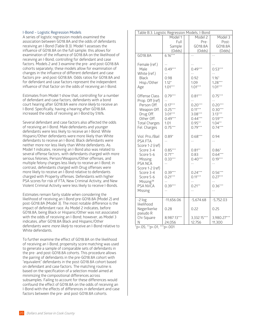#### I-Bond – Logistic Regression Models

A series of logistic regression models examined the association between GO18.8A and the odds of defendants receiving an I-Bond (Table B.3). Model 1 assesses the influence of GO18.8A on the full sample; this allows for examination of the influence of GO18.8A on the likelihood of receiving an I-Bond, controlling for defendant and case factors. Models 2 and 3 examine the pre- and post-GO18.8A cohorts separately; these models allow for examination of changes in the influence of different defendant and case factors pre- and post-GO18.8A. Odds ratios for GO18.8A and for defendant and case factors represent the independent influence of that factor on the odds of receiving an I-Bond.

Estimates from Model 1 show that, controlling for a number of defendant and case factors, defendants with a bond court hearing after GO18.8A were *more likely* to receive an I-Bond. Specifically, having a hearing after GO18.8A increased the odds of receiving an I-Bond by 516%.

Several defendant and case factors also affected the odds of receiving an I-Bond. Male defendants and younger defendants were less likely to receive an I-Bond. While Hispanic/Other defendants were more likely than White defendants to receive an I-Bond, Black defendants were neither more nor less likely than White defendants. As Model 1 indicates, receiving an I-Bond also was related to several offense factors, with defendants charged with more serious felonies, Person/Weapons/Other offenses, and multiple felony charges less likely to receive an I-Bond; in contrast, defendants charged with Drug offenses were more likely to receive an I-Bond relative to defendants charged with Property offenses. Defendants with higher PSA scores for risk of FTA, New Criminal Activity, and New Violent Criminal Activity were less likely to receive I-Bonds.

Estimates remain fairly stable when considering the likelihood of receiving an I-Bond pre-GO18.8A (Model 2) and post-GO18.8A (Model 3). The most notable difference is the impact of defendant race. As Model 2 indicates, before GO18.8A, being Black or Hispanic/Other was not associated with the odds of receiving an I-Bond; however, as Model 3 indicates, after GO18.8A Black and Hispanic/Other defendants were *more likely* to receive an I-Bond relative to White defendants.

To further examine the effect of GO18.8A on the likelihood of receiving an I-Bond, propensity score matching was used to generate a sample of comparable sets of defendants in the pre- and post-GO18.8A cohorts. This procedure allows the pairing of defendants in the pre-GO18.8A cohort with "equivalent" defendants in the post-GO18.8A cohort based on defendant and case factors. The matching routine is based on the specification of a selection model aimed at minimizing the compositional differences across subsamples. Failing to account for these differences would confound the effect of GO18.8A on the odds of receiving an I-Bond with the effects of differences in defendant and case factors between the pre- and post-GO18.8A cohorts.

| Table B.3. Logistic Regression Models, I-Bond                                                                                                                                              |                                                                                       |  |                                                                                         |                                                                                         |
|--------------------------------------------------------------------------------------------------------------------------------------------------------------------------------------------|---------------------------------------------------------------------------------------|--|-----------------------------------------------------------------------------------------|-----------------------------------------------------------------------------------------|
|                                                                                                                                                                                            | Model 1                                                                               |  | Model 2                                                                                 | $\overline{M}$ odel 3                                                                   |
|                                                                                                                                                                                            | Full                                                                                  |  | Pre-                                                                                    | Post-                                                                                   |
|                                                                                                                                                                                            | Sample                                                                                |  | GO18.8A                                                                                 | GO18.8A                                                                                 |
|                                                                                                                                                                                            | (Odds)                                                                                |  | (Odds)                                                                                  | (Odds)                                                                                  |
| GO18.8A                                                                                                                                                                                    | $6.16***$                                                                             |  |                                                                                         |                                                                                         |
| Female (ref.)<br>Male<br>White (ref.)<br>Black<br>Hisp./Other<br>Age                                                                                                                       | $0.49***$<br>0.98<br>$1.12*$<br>$1.01***$                                             |  | $0.49***$<br>0.92<br>1.09<br>$1.01***$                                                  | $0.53***$<br>$1.16*$<br>$1.28***$<br>$1.01***$                                          |
| Offense Class<br>Prop. Off (ref)<br>Person Off.<br>Weapon Off.<br>Drug Off.<br>Other Off.<br><b>Total Charges</b><br>Fel. Charges                                                          | $0.79***$<br>$0.17***$<br>$0.25***$<br>$3.01***$<br>$0.49***$<br>1.01<br>$0.75***$    |  | $0.81***$<br>$0.20***$<br>$0.11***$<br>$3.08***$<br>$0.44***$<br>$0.95***$<br>$0.79***$ | $0.75***$<br>$0.20***$<br>$0.30***$<br>$3.13***$<br>$0.59***$<br>$1.04***$<br>$0.74***$ |
| Viol. Pro./Bail<br>PSA FTA<br>Score 1-2 (ref)<br>Score 3-4<br>Score 5-6<br>Missing<br>PSA NCA<br>Score 1-2 (ref)<br>Score 3-4<br>Score 5-6<br>Missing <sup>38</sup><br>PSA NVCA<br>Missing | $0.89*$<br>$0.85***$<br>$0.71***$<br>$0.33***$<br>$0.39***$<br>$0.21***$<br>$0.39***$ |  | $0.68***$<br>$0.81**$<br>0.83<br>$0.40***$<br>$0.24***$<br>$0.11***$<br>$0.21***$       | 0.94<br>$0.86*$<br>$0.64***$<br>$0.19***$<br>$0.56***$<br>$0.27***$<br>$0.36***$        |
| $-2 log$<br>likelihood<br>Negerlkerke<br>pseudo R<br>Chi-Square<br>Ν                                                                                                                       | $-11,656.06$<br>0.28<br>8,987.13***<br>24,056                                         |  | $-5,674.68$<br>0.22<br>3,332.15***<br>12,756                                            | $-5,752.03$<br>0.25<br>3,980.27***<br>11,300                                            |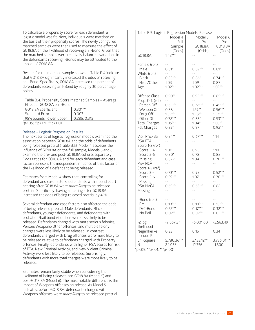To calculate a propensity score for each defendant, a logistic model was fit. Next, individuals were matched on the basis of their propensity scores. The newly configured matched samples were then used to measure the effect of GO18.8A on the likelihood of receiving an I-Bond. Given that the matched samples were relatively balanced, variations in the defendants receiving I-Bonds may be attributed to the impact of GO18.8A.

Results for the matched sample shown in Table B.4 indicate that GO18.8A significantly increased the odds of receiving an I-Bond. Specifically, GO18.8A increased the percent of defendants receiving an I-Bond by roughly 30 percentage points.

| Table B.4. Propensity Score Matched Samples - Average<br>Effect of GO18.8A on I-Bond |  |  |  |
|--------------------------------------------------------------------------------------|--|--|--|
| $0.301***$<br>GO18.8A coefficient                                                    |  |  |  |
| Standard Error<br>0.007                                                              |  |  |  |
| 95% bounds: lower, upper<br>0.286, 0.315                                             |  |  |  |
|                                                                                      |  |  |  |

\*p<.05; \*\*p<.01, \*\*\*p<.001

#### Release – Logistic Regression Results

The next series of logistic regression models examined the association between GO18.8A and the odds of defendants being released pretrial (Table B.5). Model 4 assesses the influence of GO18.8A on the full sample; Models 5 and 6 examine the pre- and post-GO18.8A cohorts separately. Odds ratios for GO18.8A and for each defendant and case factor represent the independent influence of that factor on the likelihood of a defendant being released.

Estimates from Model 4 show that, controlling for defendant and case factors, defendants with a bond court hearing after GO18.8A were *more likely* to be released pretrial. Specifically, having a hearing after GO18.8A increased the odds of being released pretrial by 42%.

Several defendant and case factors also affected the odds of being released pretrial. Male defendants, Black defendants, younger defendants, and defendants with probation/bail bond violations were less likely to be released. Defendants charged with more serious felonies, Person/Weapons/Other offenses, and multiple felony charges were less likely to be released; in contrast, defendants charged with Drug offenses were more likely to be released relative to defendants charged with Property offenses. Finally, defendants with higher PSA scores for risk of FTA, New Criminal Activity, and New Violent Criminal Activity were less likely to be released. Surprisingly, defendants with more total charges were more likely to be released.

Estimates remain fairly stable when considering the likelihood of being released pre-GO18.8A (Model 5) and post-GO18.8A (Model 6). The most notable difference is the impact of Weapons offenses on release. As Model 5 indicates, before GO18.8A, defendants charged with Weapons offenses were *more likely* to be released pretrial

| Table B.5. Logistic Regression Models, Release                                                                                     |                                                                                                              |  |                                                                                 |                                                                                        |
|------------------------------------------------------------------------------------------------------------------------------------|--------------------------------------------------------------------------------------------------------------|--|---------------------------------------------------------------------------------|----------------------------------------------------------------------------------------|
|                                                                                                                                    | Model $\overline{4}$                                                                                         |  | Model 5                                                                         | Model 6                                                                                |
|                                                                                                                                    | Full                                                                                                         |  | Pre-                                                                            | Post-                                                                                  |
|                                                                                                                                    | Sample                                                                                                       |  | GO18.8A                                                                         | GO18.8A                                                                                |
|                                                                                                                                    | (Odds)                                                                                                       |  | (Odds)                                                                          | (Odds)                                                                                 |
| G018.8A                                                                                                                            | $1.42***$                                                                                                    |  |                                                                                 |                                                                                        |
| Female (ref.)<br>Male<br>White (ref.)<br><b>Black</b><br>Hisp./Other<br>Age                                                        | $0.81**$<br>$0.83***$<br>1.03<br>$1.02***$                                                                   |  | $0.82***$<br>$0.86*$<br>1.09<br>$1.02***$                                       | $0.81*$<br>$0.74***$<br>0.87<br>$1.02***$                                              |
| Offense Class<br>Prop. Off. (ref)<br>Person Off.<br>Weapon Off.<br>Drug Off.<br>Other Off.<br><b>Total Charges</b><br>Fel. Charges | $0.90***$<br>$\overline{\phantom{a}}$<br>$0.62***$<br>0.88<br>$1.39***$<br>$0.72***$<br>$1.05***$<br>$0.95*$ |  | $0.92***$<br>$0.72***$<br>$1.29**$<br>$1.28***$<br>$0.83*$<br>$1.04***$<br>0.97 | $0.85***$<br>$0.45***$<br>$0.56***$<br>$1.53***$<br>$0.53***$<br>$1.05***$<br>$0.92**$ |
| Viol. Pro./Bail<br><b>PSA FTA</b><br>Score 1-2 (ref)<br>Score 3-4<br>Score 5-6                                                     | $0.84***$<br>1.00<br>$0.80*$                                                                                 |  | $0.67***$<br>$-$<br>0.93<br>0.78                                                | 1.14<br>ă.<br>1.10<br>0.88                                                             |
| Missing<br>PSA NCA<br>Score 1-2 (ref)                                                                                              | $0.877*$<br>$\overline{\phantom{a}}$                                                                         |  | 1.04<br>$\overline{a}$                                                          | $0.70***$<br>$\sim$                                                                    |
| Score 3-4<br>Score 5-6                                                                                                             | $0.73***$<br>$0.59***$                                                                                       |  | 0.92<br>1.07                                                                    | $0.52***$<br>$0.30***$                                                                 |
| Missing<br>PSA NVCA<br>Missing                                                                                                     | $-$<br>$0.69***$                                                                                             |  | $\overline{\phantom{a}}$<br>$0.63***$                                           | $\overline{a}$<br>0.82                                                                 |
| I-Bond (ref.)<br><b>FM</b><br>D/C-Bond<br>No Bail                                                                                  | $0.19***$<br>$0.22***$<br>$0.02***$                                                                          |  | $0.19***$<br>$0.17***$<br>$0.02***$                                             | $0.15***$<br>$0.32***$<br>$0.02***$                                                    |
| -2 log<br>likelihood<br>Negerlkerke                                                                                                | $-9,667.27$<br>0.23                                                                                          |  | $-6,001.60$<br>0.15                                                             | $-3,563.49$<br>0.34                                                                    |
| pseudo R<br>Chi-Square<br>Ν                                                                                                        | 5,780.36***<br>24,056                                                                                        |  | 2,133.12***<br>12,756                                                           | 3,736.01***<br>11,300                                                                  |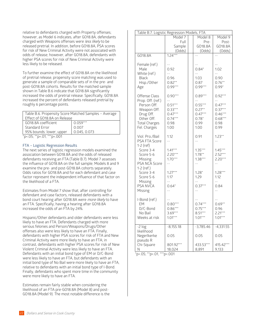relative to defendants charged with Property offenses; however, as Model 6 indicates, after GO18.8A, defendants charged with Weapons offenses were less likely to be released pretrial. In addition, before GO18.8A, PSA scores for risk of New Criminal Activity were not associated with odds of release; however, after GO18.8A, defendants with higher PSA scores for risk of New Criminal Activity were less likely to be released.

To further examine the effect of GO18.8A on the likelihood of pretrial release, propensity score matching was used to generate a sample of comparable sets of in the pre- and post-GO18.8A cohorts. Results for the matched sample shown in Table B.6 indicate that GO18.8A significantly increased the odds of pretrial release. Specifically, GO18.8A increased the percent of defendants released pretrial by roughly 6 percentage points.

| Table B.6. Propensity Score Matched Samples - Average |              |  |  |
|-------------------------------------------------------|--------------|--|--|
| Effect of GO18.8A on Release                          |              |  |  |
| $0.059***$<br>GO18.8A coefficient                     |              |  |  |
| Standard Error<br>0.007                               |              |  |  |
| 95% bounds: lower, upper                              | 0.045, 0.073 |  |  |

\*p<.05; \*\*p<.01, \*\*\*p<.001

#### FTA – Logistic Regression Results

The next series of logistic regression models examined the association between GO18.8A and the odds of released defendants receiving an FTA (Table B.7). Model 7 assesses the influence of GO18.8A on the full sample; Models 8 and 9 examine the pre- and post-GO18.8A cohorts separately. Odds ratios for GO18.8A and for each defendant and case factor represent the independent influence of that factor on the likelihood of a FTA.

Estimates from Model 7 show that, after controlling for defendant and case factors, released defendants with a bond court hearing after GO18.8A were *more likely* to have an FTA. Specifically, having a hearing after GO18.8A increased the odds of an FTA by 24%.

Hispanic/Other defendants and older defendants were less likely to have an FTA. Defendants charged with more serious felonies and Person/Weapons/Drugs/Other offenses also were less likely to have an FTA. Finally, defendants with higher PSA scores for risk of FTA and New Criminal Activity were more likely to have an FTA; in contrast, defendants with higher PSA scores for risk of New Violent Criminal Activity were less likely to have an FTA. Defendants with an initial bond type of EM or D/C-Bond were less likely to have an FTA, but defendants with an initial bond type of No Bail were more likely to have an FTA, relative to defendants with an initial bond type of I-Bond. Finally, defendants who spent more time in the community were more likely to have an FTA.

Estimates remain fairly stable when considering the likelihood of an FTA pre-GO18.8A (Model 8) and post-GO18.8A (Model 9). The most notable difference is the

| Table B.7. Logistic Regression Models, FTA |                        |                        |                   |  |
|--------------------------------------------|------------------------|------------------------|-------------------|--|
|                                            | Model 7                | Model 8                | Model 9           |  |
|                                            | Full                   | Pre-                   | Post-             |  |
|                                            | Sample                 | GO18.8A                | GO18.8A           |  |
| GO18.8A                                    | (Odds)<br>$1.24***$    | (Odds)                 | (Odds)            |  |
|                                            |                        |                        |                   |  |
| Female (ref.)                              |                        |                        |                   |  |
| Male                                       | 0.92                   | $0.84*$                | 1.02              |  |
| White (ref.)                               | 44                     | $\overline{a}$         | 44                |  |
| <b>Black</b>                               | 0.96                   | 1.03                   | 0.90              |  |
| Hisp./Other                                | $0.82**$               | 0.87                   | $0.76***$         |  |
| Age                                        | $0.99***$              | $0.99***$              | $0.99*$           |  |
| Offense Class                              | $0.90***$              | $0.89***$              | $0.92***$         |  |
| Prop. Off. (ref.)                          |                        |                        |                   |  |
| Person Off.                                | $0.51***$              | $0.55***$              | $0.47***$         |  |
| Weapon Off.                                | $0.33***$              | $0.27**$               | $0.37***$         |  |
| Drug Off.                                  | $0.47***$<br>$0.74***$ | $0.47***$              | $0.46***$         |  |
| Other Off.<br><b>Total Charges</b>         | 0.98                   | $0.78*$<br>0.99        | $0.68***$<br>0.98 |  |
| Fel. Charges                               | 1.00                   | 1.00                   | 0.99              |  |
|                                            |                        |                        |                   |  |
| Viol. Pro./Bail                            | 1.12                   | 0.91                   | $1.23***$         |  |
| PSA FTA Score                              | $\overline{a}$         | $\overline{a}$         | ۵.                |  |
| 1-2 (ref)<br>Score 3-4                     | $1.41***$              | $1.35***$              | $1.45***$         |  |
| Score 5-6                                  | $2.20***$              | $1.78**$               | $2.52***$         |  |
| Missing                                    | $1.70***$              | $1.38***$              | $2.20***$         |  |
| PSA NCA Score                              |                        |                        |                   |  |
| 1-2 (ref.)                                 |                        |                        |                   |  |
| Score 3-4                                  | $1.27***$              | $1.28*$<br>1.29        | $1.28***$         |  |
| Score 5-6<br>Missing                       | 1.17                   |                        | 1.12<br>$\ddotsc$ |  |
| PSA NVCA                                   | $0.64*$                | $0.37***$              | 0.84              |  |
| Missing                                    |                        | Ц,                     | ٥.                |  |
|                                            |                        |                        |                   |  |
| I-Bond (ref.)                              |                        |                        |                   |  |
| EM<br>D/C-Bond                             | $0.80***$<br>$0.86***$ | $0.74***$<br>$0.75***$ | $0.69**$<br>0.96  |  |
| No Bail                                    | $3.69***$              | $8.51***$              | $2.21***$         |  |
| Weeks at risk                              | $1.01***$              | $1.01***$              | $1.01***$         |  |
|                                            |                        |                        |                   |  |
| -2 log                                     | $-8,155.18$            | $-3,785.46$            | $-4,331.55$       |  |
| likelihood<br>Negerlkerke                  | 0.05                   | 0.05                   | 0.05              |  |
| pseudo R                                   |                        |                        |                   |  |
| Chi-Square                                 | 801.92***              | 433.53***              | 415.42***         |  |
| N                                          | 18,024                 | 8,891                  | 9,133             |  |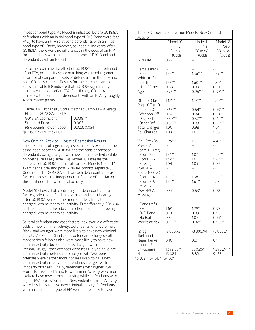impact of bond type. As Model 8 indicates, before GO18.8A, defendants with an initial bond type of D/C-Bond were less  $\frac{likelihood}{dE}$  have an FTA relative to defendants with an initial bond type of I-Bond; however, as Model 9 indicates, after GO18.8A, there were no differences in the odds of an FTA for defendants with an initial bond type of D/C-Bond and defendants with an I-Bond.

To further examine the effect of GO18.8A on the likelihood of an FTA, propensity score matching was used to generate a sample of comparable sets of defendants in the pre- and post-GO18.8A cohorts. Results for the matched sample shown in Table B.8 indicate that GO18.8A significantly increased the odds of an FTA. Specifically, GO18.8A increased the percent of defendants with an FTA by roughly 4 percentage points.

| Table B.8. Propensity Score Matched Samples - Average |  |  |  |  |
|-------------------------------------------------------|--|--|--|--|
| Effect of GO18.8A on FTA                              |  |  |  |  |
| $\overline{0.038}$ ***<br>GO18.8A coefficient         |  |  |  |  |
| <b>Standard Error</b><br>0.007                        |  |  |  |  |
| 0.023, 0.054<br>95% bounds: lower, upper              |  |  |  |  |
|                                                       |  |  |  |  |

\*p<.05; \*\*p<.01, \*\*\*p<.001

New Criminal Activity – Logistic Regression Results

The next series of logistic regression models examined the association between GO18.8A and the odds of released defendants being charged with new criminal activity while on pretrial release (Table B.9). Model 10 assesses the influence of GO18.8A on the full sample; Models 11 and 12 examine the pre- and post-GO18.8A cohorts separately. Odds ratios for GO18.8A and for each defendant and case factor represent the independent influence of that factor on the likelihood of new criminal activity.

Model 10 shows that, controlling for defendant and case factors, released defendants with a bond court hearing after GO18.8A were neither more nor less likely to be charged with new criminal activity. Put differently, GO18.8A had no impact on the odds of a released defendant being charged with new criminal activity.

Several defendant and case factors, however, did affect the odds of new criminal activity. Defendants who were male, Black, and younger were more likely to have new criminal activity. As Model 10 indicates, defendants charged with more serious felonies also were more likely to have new criminal activity, but defendants charged with Person/Drugs/Other offenses were less likely to have new criminal activity; defendants charged with Weapons offenses were neither more nor less likely to have new criminal activity relative to defendants charged with Property offenses. Finally, defendants with higher PSA scores for risk of FTA and New Criminal Activity were more likely to have new criminal activity; while, defendants with higher PSA scores for risk of New Violent Criminal Activity were less likely to have new criminal activity. Defendants with an initial bond type of EM were more likely to have

| Table B.9. Logistic Regression Models, New Criminal<br>Activity                                                                                                              |                                                                                                                          |  |                                                                        |                                                                                                                  |
|------------------------------------------------------------------------------------------------------------------------------------------------------------------------------|--------------------------------------------------------------------------------------------------------------------------|--|------------------------------------------------------------------------|------------------------------------------------------------------------------------------------------------------|
|                                                                                                                                                                              | Model 10<br>Full<br>Sample<br>(Odds)                                                                                     |  | Model 11<br>Pre-<br>G018.8A<br>(Odds)                                  | Model 12<br>Post-<br>G018.8A<br>(Odds)                                                                           |
| G018.8A                                                                                                                                                                      | 0.97                                                                                                                     |  |                                                                        |                                                                                                                  |
| Female (ref.)<br>Male<br>White (ref.)<br>Black<br>Hisp./Other<br>Age                                                                                                         | $1.38***$<br>$1.37***$<br>0.88<br>$0.97***$                                                                              |  | $1.36***$<br>$1.60***$<br>0.99<br>$0.96***$                            | $1.39***$<br>$1.20*$<br>0.81<br>$0.97***$                                                                        |
| Offense Class<br>Prop. Off (ref)<br>Person Off.<br>Weapon Off.<br>Drug Off.<br>Other Off.<br><b>Total Charges</b><br>Fel. Charges                                            | $1.17***$<br>$0.65***$<br>0.87<br>$0.50***$<br>$0.67***$<br>1.00<br>1.03                                                 |  | $1.13***$<br>$0.64***$<br>0.84<br>$0.57***$<br>0.83<br>0.98<br>1.03    | $1.20***$<br>$0.59***$<br>0.84<br>$0.40***$<br>$0.52***$<br>1.01<br>1.03                                         |
| Viol. Pro./Bail<br>PSA FTA<br>Score 1-2 (ref)<br>Score 3-4<br>Score 5-6<br>Missing<br>PSA NCA<br>Score 1-2 (ref)<br>Score 3-4<br>Score 5-6<br>Missing<br>PSA NVCA<br>Missing | $2.75***$<br>$1.26***$<br>$1.42***$<br>1.04<br>$\overline{\phantom{a}}$<br>$1.39***$<br>$1.42***$<br>44<br>$0.75*$<br>44 |  | 1.13<br>1.06<br>1.05<br>1.09<br>$1.38***$<br>$1.61**$<br>44<br>$0.63*$ | $4.45***$<br>$1.43***$<br>$1.73***$<br>0.85<br>$\overline{\phantom{a}}$<br>$1.38***$<br>1.28<br>Ц,<br>0.78<br>÷. |
| I-Bond (ref.)<br><b>EM</b><br>D/C-Bond<br>No Bail<br>Weeks at risk                                                                                                           | $1.16*$<br>0.91<br>0.71<br>$0.97***$                                                                                     |  | $1.29**$<br>0.93<br>1.08<br>$0.97***$                                  | 0.97<br>0.96<br>$0.55***$<br>$0.96***$                                                                           |
| -2 log<br>likelihood<br>Negerlkerke<br>pseudo R                                                                                                                              | $-7,830.72$<br>0.10                                                                                                      |  | $-3,890.94$<br>0.07                                                    | $-3,836.31$<br>0.14                                                                                              |
| Chi-Square<br>N                                                                                                                                                              | 1,672.68***<br>18,024                                                                                                    |  | 580.26***<br>8,891                                                     | 1,295.29***<br>9,133                                                                                             |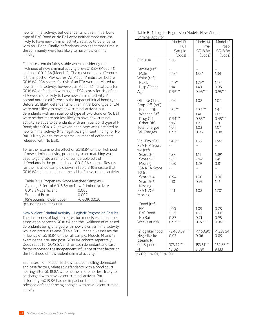new criminal activity, but defendants with an initial bond type of D/C-Bond or No Bail were neither more nor less likely to have new criminal activity, relative to defendants with an I-Bond. Finally, defendants who spent more time in the community were less likely to have new criminal activity.

Estimates remain fairly stable when considering the likelihood of new criminal activity pre-GO18.8A (Model 11) and post-GO18.8A (Model 12). The most notable difference is the impact of PSA scores. As Model 11 indicates, before GO18.8A, PSA scores for risk of an FTA were unrelated to new criminal activity; however, as Model 12 indicates, after GO18.8A, defendants with higher PSA scores for risk of an FTA were more likely to have new criminal activity. A second notable difference is the impact of initial bond type. Before GO18.8A, defendants with an initial bond type of EM were more likely to have new criminal activity, but defendants with an initial bond type of D/C-Bond or No Bail were neither more nor less likely to have new criminal activity, relative to defendants with an initial bond type of I-Bond; after GO18.8A, however, bond type was unrelated to new criminal activity (the negative, significant finding for No Bail is likely due to the very small number of defendants released with No Bail).

To further examine the effect of GO18.8A on the likelihood of new criminal activity, propensity score matching was used to generate a sample of comparable sets of defendants in the pre- and post-GO18.8A cohorts. Results for the matched sample shown in Table B.10 indicate that GO18.8A had no impact on the odds of new criminal activity.

| Table B.10. Propensity Score Matched Samples -                                                |  |  |  |
|-----------------------------------------------------------------------------------------------|--|--|--|
| Average Effect of GO18.8A on New Criminal Activity                                            |  |  |  |
| GO18.8A coefficient<br>0.005                                                                  |  |  |  |
| 0.007<br><b>Standard Error</b>                                                                |  |  |  |
| 95% bounds: lower, upper<br>$-0.009, 0.020$                                                   |  |  |  |
| $*_{n}$ , $\cap$ $\Gamma$ , $**_{n}$ , $\cap$ $\wedge$ $*$ , $*_{n}$ , $\cap$ $\cap$ $\wedge$ |  |  |  |

\*p<.05; \*\*p<.01, \*\*\*p<.001

New Violent Criminal Activity – Logistic Regression Results The final series of logistic regression models examined the association between GO18.8A and the likelihood of released defendants being charged with new violent criminal activity while on pretrial release (Table B.11). Model 13 assesses the influence of GO18.8A on the full sample; Models 14 and 15 examine the pre- and post-GO18.8A cohorts separately. Odds ratios for GO18.8A and for each defendant and case factor represent the independent influence of that factor on the likelihood of new violent criminal activity.

Estimates from Model 13 show that, controlling defendant and case factors, released defendants with a bond court hearing after GO18.8A were neither more nor less likely to be charged with new violent criminal activity. Put differently, GO18.8A had no impact on the odds of a released defendant being charged with new violent criminal activity.

| Table B.11. Logistic Regression Models, New Violent<br>Criminal Activity                                                                                                      |                                                                                    |                                                                                                |                                                                                                    |  |
|-------------------------------------------------------------------------------------------------------------------------------------------------------------------------------|------------------------------------------------------------------------------------|------------------------------------------------------------------------------------------------|----------------------------------------------------------------------------------------------------|--|
|                                                                                                                                                                               | Model 13<br>Full<br>Sample<br>(Odds)                                               | Model 14<br>Pre-<br>GO18.8A<br>(Odds)                                                          | Model 15<br>Post-<br>GO18.8A<br>(Odds)                                                             |  |
| GO18.8A                                                                                                                                                                       | 1.05                                                                               |                                                                                                |                                                                                                    |  |
| Female (ref.)<br>Male<br>White (ref.)<br>Black<br>Hisp./Other<br>Age                                                                                                          | $1.43*$<br>$1.40**$<br>1.14<br>$0.96***$                                           | $1.53*$<br>$1.79***$<br>1.43<br>$0.96***$                                                      | 1.34<br>1.15<br>0.95<br>$0.95***$                                                                  |  |
| Offense Class<br>Prop. Off. (ref.)<br>Person Off.<br>Weapon Off.<br>Drug Off.<br>Other Off.<br><b>Total Charges</b><br>Fel. Charges                                           | 1.04<br>4<br>$1.84***$<br>1.23<br>$0.54***$<br>1.15<br>1.04<br>0.97                | 1.02<br>$\sim$<br>$2.34***$<br>1.40<br>$0.65**$<br>1.19<br>1.03<br>0.96                        | 1.04<br>44<br>1.41<br>1.09<br>$0.45***$<br>1.11<br>1.04<br>0.98                                    |  |
| Viol. Pro./Bail<br>PSA FTA Score<br>1-2 (ref)<br>Score 3-4<br>Score 5-6<br>Missing<br>PSA NCA Score<br>1-2 (ref.)<br>Score 3-4<br>Score 5-6<br>Missing<br>PSA NVCA<br>Missing | $1.48***$<br>1.27<br>$1.62*$<br>1.08<br>å,<br>0.94<br>1.10<br>Ц,<br>1.41<br>$\sim$ | 1.33<br>$\sim$<br>1.11<br>$2.14*$<br>1.29<br>ă.<br>1.00<br>0.95<br>$\ddotsc$<br>1.02<br>$\sim$ | $1.56***$<br>$-$<br>$1.39*$<br>1.41<br>0.81<br>$\overline{a}$<br>0.90<br>1.16<br>$\sim$<br>$1.70*$ |  |
| I-Bond (ref.)<br><b>EM</b><br>D/C-Bond<br>No Bail<br>Weeks at risk                                                                                                            | 1.00<br>$1.27*$<br>0.87<br>$0.97***$                                               | 1.09<br>1.16<br>0.71<br>$0.97***$                                                              | 0.78<br>$1.39*$<br>0.95<br>$0.96***$                                                               |  |
| -2 log likelihood<br>Negerlkerke<br>pseudo R<br>Chi-Square<br>Ν                                                                                                               | $-2,408.59$<br>0.07<br>373.79***<br>18,024                                         | $-1,160.90$<br>0.06<br>153.51***<br>8,891                                                      | $-1,238.54$<br>0.09<br>237.66***<br>9,133                                                          |  |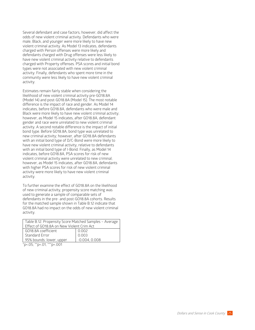Several defendant and case factors, however, did affect the odds of new violent criminal activity. Defendants who were male, Black, and younger were more likely to have new violent criminal activity. As Model 13 indicates, defendants charged with Person offenses were more likely and defendants charged with Drug offenses were less likely to have new violent criminal activity relative to defendants charged with Property offenses. PSA scores and initial bond types were not associated with new violent criminal activity. Finally, defendants who spent more time in the community were less likely to have new violent criminal activity.

Estimates remain fairly stable when considering the likelihood of new violent criminal activity pre-GO18.8A (Model 14) and post-GO18.8A (Model 15). The most notable difference is the impact of race and gender. As Model 14 indicates, before GO18.8A, defendants who were male and Black were more likely to have new violent criminal activity; however, as Model 15 indicates, after GO18.8A, defendant gender and race were unrelated to new violent criminal activity. A second notable difference is the impact of initial bond type. Before GO18.8A, bond type was unrelated to new criminal activity; however, after GO18.8A defendants with an initial bond type of D/C-Bond were more likely to have new violent criminal activity, relative to defendants with an initial bond type of I-Bond. Finally, as Model 14 indicates, before GO18.8A, PSA scores for risk of new violent criminal activity were unrelated to new criminal; however, as Model 15 indicates, after GO18.8A, defendants with higher PSA scores for risk of new violent criminal activity were more likely to have new violent criminal activity.

To further examine the effect of GO18.8A on the likelihood of new criminal activity, propensity score matching was used to generate a sample of comparable sets of defendants in the pre- and post-GO18.8A cohorts. Results for the matched sample shown in Table B.12 indicate that GO18.8A had no impact on the odds of new violent criminal activity.

| Table B.12. Propensity Score Matched Samples - Average |                 |
|--------------------------------------------------------|-----------------|
| Effect of GO18.8A on New Violent Crim Act              |                 |
| GO18.8A coefficient                                    | 0.002           |
| Standard Error                                         | 0.003           |
| 95% bounds: lower, upper                               | $-0.004, 0.008$ |
|                                                        |                 |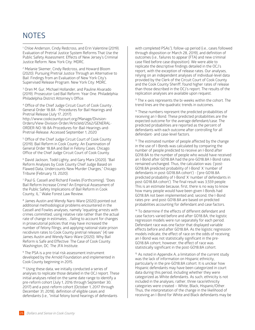# **NOTES**

<sup>1</sup> Chloe Anderson, Cindy Redcross, and Erin Valentine (2019). Evaluation of Pretrial Justice System Reforms That Use the Public Safety Assessment: Effects of New Jersey's Criminal Justice Reform. New York City: MDRC.

<sup>2</sup> Melanie Skemer, Cindy Redcross, and Howard Bloom (2020). Pursuing Pretrial Justice Through an Alternative to Bail: Findings from an Evaluation of New York City's Supervised Release Program. New York City: MDRC.

<sup>3</sup> Oren M. Gur, Michael Hollander, and Pauline Alvarado (2019). Prosecutor-Led Bail Reform: Year One. Philadelphia: Philadelphia District Attorney's Office.

<sup>4</sup> Office of the Chief Judge Circuit Court of Cook County . General Order 18.8A - Procedures for Bail Hearings and Pretrial Release (July 17, 2017).

http://www.cookcountycourt.org/Manage/Division-Orders/View-Division-Order/ArticleId/2562/GENERAL-ORDER-NO-18-8A-Procedures-for-Bail-Hearings-and-Pretrial-Release. Accessed September 1, 2020

<sup>5</sup> Office of the Chief Judge Circuit Court of Cook County (2019). Bail Reform in Cook County: An Examination of General Order 18.8A and Bail in Felony Cases. Chicago: Office of the Chief Judge Circuit Court of Cook County.

<sup>6</sup> David Jackson, Todd Lighty, and Gary Marx (2020). "Bail Reform Analyses by Cook County Chief Judge Based on Flawed Data, Undercounts New Murder Charges," Chicago Tribune (February 13, 2020).

<sup>7</sup> Paul G. Cassell and Richard Fowles (Forthcoming). "Does Bail Reform Increase Crime? An Empirical Assessment of the Public Safety Implications of Bail Reform in Cook County, IL." Wake Forest Law Review.

<sup>8</sup> James Austin and Wendy Naro-Ware (2020) pointed out additional methodological problems encountered in the Cassell and Fowles analyses, namely "equating arrests with crimes committed; using relative rate rather than the actual rate of change in estimates; …failing to account for changes in prosecutorial policies that may have increased the number of felony filings; and applying national state prison recidivism rates to Cook County pretrial releases" (4) see James Austin and Wendy Naro-Ware (2020). Why Bail Reform is Safe and Effective: The Case of Cook County. Washington, DC: The JFA Institute.

<sup>9</sup> The PSA is a pre-trial risk assessment instrument developed by the Arnold Foundation and implemented in Cook County beginning in 2015.

<sup>10</sup> Using these data, we initially conducted a series of analyses to replicate those detailed in the OCJ report. These initial analyses relied on the same date range to identify a pre-reform cohort (July 1, 2016 through September 30, 2017) and a post-reform cohort (October 1, 2017 through December 31, 2018), definition of eligible cases and defendants (i.e., "initial felony bond hearings of defendants

with completed PSAs"), follow-up period (i.e., cases followed through disposition or March 28, 2019), and definition of outcomes (i.e., failures to appear (FTA) and new criminal case filed before case disposition). We were able to replicate the descriptive findings detailed in the OCJ's report, with the exception of release rates. Our analyses, relying on an independent analyses of individual-level data provided by the Clerk of the Circuit Court of Cook County and the Cook County Sheriff, found higher rates of release than those described in the OCJ's report. The results of the replication analyses are available upon request.

<sup>11</sup> The x-axis represents the bi-weeks within the cohort. The trend lines are the quadratic trends in outcomes.

<sup>12</sup> These numbers represent the predicted probabilities of receiving an I-Bond. These predicted probabilities are the expected outcome for the average defendant/case. The predicted probabilities are reported as the percent of defendants with each outcome after controlling for all defendant- and case-level factors.

<sup>13</sup> The estimated number of people affected by the change in the use of I-Bonds was calculated by comparing the number of people predicted to receive an I-Bond after GO18.8A to the number of people who would have received an I-Bond after GO18.8A had the pre-GO18.8A I-Bond rates remained unchanged. Thus, the calculation was: ('post-GO18.8A predicted probability of I-Bond' X 'number of defendants in post-GO18.8A cohort') - ('pre-GO18.8A predicted probability of I-Bond' X 'number of defendants in post-GO18.8A cohort'). The final result was 3,559 people. This is an estimate because, first, there is no way to know how many people would have been given I-Bonds had GO18.8A not been implemented and, second, the I-Bond rates pre- and post-GO18.8A are based on predicted probabilities accounting for defendant and case factors.

<sup>14</sup> To determine if the effects of different defendant and case factors varied before and after GO18.8A, the logistic regression models were run separately for each period. Defendant race was one factor that displayed variable effects before and after GO18.8A. As the logistic regression models indicate, the effect of race on the odds of receiving an I-Bond was not statistically significant in the pre-GO18.8A cohort; however, the effect of race was statistically significant in the post-GO18.8A cohort.

<sup>15</sup> As noted in Appendix A, a limitation of the current study was the lack of information on Hispanic ethnicity, particularly in the pre-GO18.8A cohort. It is unclear how Hispanic defendants may have been categorized in court data during this period, including whether they were categorized as White defendants. As such, ethnicity is not included in the analyses; rather, three race/ethnicity categories were created – White, Black, Hispanic/Other. Thus, the interpretation of the change in the likelihood of receiving an I-Bond for White and Black defendants may be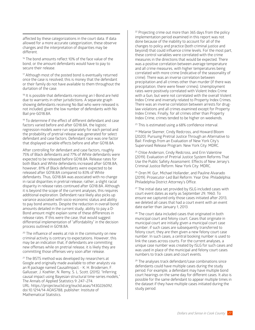affected by these categorizations in the court data. If data allowed for a more accurate categorization, these observe changes and the interpretation of disparities may be different.

<sup>16</sup> The bond amounts reflect 10% of the face value of the bond, or the amount defendants would have to pay to secure their release.

<sup>17</sup> Although most of the posted bond is eventually returned once the case is resolved, this is money that the defendant or their family do not have available to them throughout the durtation of the case.

<sup>18</sup> It is possible that defendants receiving an I-Bond are held due to warrants in other jurisdictions. A separate graph showing defendants receiving No Bail who were released is not included, given the low number of defendants with No Bail pre-GO18.8A.

<sup>19</sup> To determine if the effect of different defendant and case factors varied before and after GO18.8A, the logistic regression models were run separately for each period and the probability of pretrial release was generated for select defendant and case factors. Defendant race was one factor that displayed variable effects before and after GO18.8A.

After controlling for defendant and case factors, roughly 75% of Black defendants and 77% of White defendants were expected to be released before GO18.8A. Release rates for both Black and White defendants increased after GO18.8A; however, 81% of Black defendants were expected to be released after GO18.8A compared to 83% of White defendants. Thus, GO18.8A was associated with no change in racial disparities in pretrial release; rather, a slight racial disparity in release rates continued after GO18.8A. Although it is beyond the scope of the current analyses, this requires additional exploration. Defendant race likely also picks up variance associated with socio-economic status and ability to pay bond amounts. Despite the reduction in overall bond amounts detailed in the current study, ability to pay a D-Bond amount might explain some of these differences in release rates. If this were the case, that would suggest differential implementation of "affordability" in the decision process outlined in GO18.8A.

<sup>20</sup> The influence of weeks at risk in the community on new criminal activity is contrary to expectations. However, this may be an indication that, if defendants are committing new offenses while on pretrial release, it is likely they are committing those offenses very soon after release.

<sup>21</sup> The BSTS method was developed by researchers at Google and originally made available to other analysts via an R package named CausalImpact. - K. H. Brodersen, F. Gallusser, J. Koehler, N. Remy, S. L. Scott. (2015). "Inferring causal impact using Bayesian structural time-series models," The Annals of Applied Statistics 9: 247–274. URL: https://projecteuclid.org/euclid.aoas/1430226092. doi:10.1214/14-AOAS788, publisher: Institute of Mathematical Statistics.

<sup>22</sup> Projecting crime out more than 365 days from the policy implementation period examined in this report was not done because of the inability to account for all of the changes to policy and practice (both criminal justice and beyond) that could influence crime levels. For the most part, these control variables were correlated with the crime measures in the directions that would be expected. There was a positive correlation between average temperature and all crime measures, with higher temperatures being correlated with more crime (indicative of the seasonality of crime). There was an inverse correlation between precipitation and all crimes other than murder (if there was precipitation, there were fewer crimes). Unemployment rates were positively correlated with Violent Index Crime with a Gun, but were not correlated with the overall Violent Index Crime and inversely related to Property Index Crimes. There was an inverse correlation between arrests for druglaw violations and all crimes examined except for Property Index Crimes. Finally, for all crimes other than Property Index Crime, crimes tended to be higher on weekends.

<sup>23</sup> This is estimated using a 68% confidence interval.

<sup>24</sup> Melanie Skemer, Cindy Redcross, and Howard Bloom (2020). Pursuing Pretrial Justice Through an Alternative to Bail: Findings from an Evaluation of New York City's Supervised Release Program. New York City: MDRC.

<sup>25</sup> Chloe Anderson, Cindy Redcross, and Erin Valentine (2019). Evaluation of Pretrial Justice System Reforms That Use the Public Safety Assessment: Effects of New Jersey's Criminal Justice Reform. New York City: MDRC.

<sup>26</sup> Oren M. Gur, Michael Hollander, and Pauline Alvarado (2019). Prosecutor-Led Bail Reform: Year One. Philadelphia: Philadelphia District Attorney's Office.

<sup>27</sup> The initial data set provided by ISLG included cases with court event dates as early as September 29, 1960. To ensure we captured only those cases initiated after 2013, we deleted all cases that had a court event with an event date earlier than January 1, 2013.

<sup>28</sup> The court data included cases that originated in both municipal court and felony court. Cases that originate in municipal court are initially given a municipal court case number; if such cases are subsequently transferred to felony court, they are then given a new felony court case number. In such cases, a central booking number is used to link the cases across courts. For the current analyses, a unique case number was created by ISLG for such cases and was used in place of the municipal and felony court cases numbers to track cases and court events.

<sup>29</sup> The analyses track defendant/case combinations since defendants could have multiple cases during the study period. For example, a defendant may have multiple bond court hearings on the same day for different cases. It also is possible for the same defendant to appear multiple times in the dataset if they have multiple cases initiated during the study period.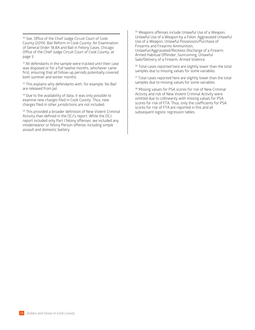<sup>30</sup> See, Office of the Chief Judge Circuit Court of Cook County (2019). Bail Reform in Cook County: An Examination of General Order 18.8A and Bail in Felony Cases. Chicago: Office of the Chief Judge Circuit Court of Cook County, at page 3.

<sup>31</sup> All defendants in the sample were tracked until their case was disposed or for a full twelve months, whichever came first, ensuring that all follow-up periods potentially covered both summer and winter months.

<sup>32</sup> This explains why defendants with, for example, No Bail are released from jail.

<sup>33</sup> Due to the availability of data, it was only possible to examine new charges filed in Cook County. Thus, new charges filed in other jurisdictions are not included.

<sup>34</sup> This provided a broader definition of New Violent Criminal Activity than defined in the OCJ's report. While the OCJ report included only Part I felony offenses, we included any misdemeanor or felony Person offense, including simple assault and domestic battery.

35 Weapons offenses include Unlawful Use of a Weapon, Unlawful Use of a Weapon by a Felon, Aggravated Unlawful Use of a Weapon, Unlawful Possession/Purchase of Firearms and Firearms Ammunition, Unlawful/Aggravated/Reckless Discharge of a Firearm, Armed Habitual Offender, Gunrunning, Unlawful Sale/Delivery of a Firearm, Armed Violence.

<sup>36</sup> Total cases reported here are slightly lower than the total samples due to missing values for some variables.

<sup>37</sup> Total cases reported here are slightly lower than the total samples due to missing values for some variables

38 Missing values for PSA scores for risk of New Criminal Activity and risk of New Violent Criminal Activity were omitted due to collinearity with missing values for PSA scores for risk of FTA. Thus, only the coefficients for PSA scores for risk of FTA are reported in this and all subsequent logistic regression tables.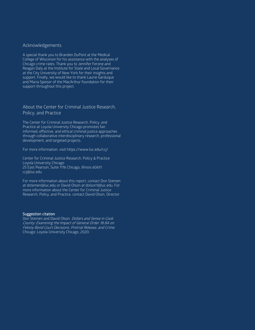#### Acknowledgements

A special thank you to Branden DuPont at the Medical College of Wisconsin for his assistance with the analyses of Chicago crime rates. Thank you to Jennifer Ferone and Reagan Daly at the Institute for State and Local Governance at the City University of New York for their insights and support. Finally, we would like to thank Laurie Garduque and Maria Speiser of the MacArthur foundation for their support throughout this project.

## About the Center for Criminal Justice Research, Policy, and Practice

The Center for Criminal Justice Research, Policy, and Practice at Loyola University Chicago promotes fair, informed, effective, and ethical criminal justice approaches through collaborative interdisciplinary research, professional development, and targeted projects.

For more information, visit https://www.luc.edu/ccj/

Center for Criminal Justice Research, Policy & Practice Loyola University Chicago 25 East Pearson, Suite 1116 Chicago, Illinois 60611 ccj@luc.edu

For more information about this report, contact Don Stemen at dstemen@luc.edu or David Olson at dolson1@luc.edu. For more information about the Center for Criminal Justice Research, Policy, and Practice, contact David Olson, Director.

#### Suggestion citation

Don Stemen and David Olson. *Dollars and Sense in Cook* County: Examining the Impact of General Order 18.8A on Felony Bond Court Decisions, Pretrial Release, and Crime. Chicago: Loyola University Chicago, 2020.